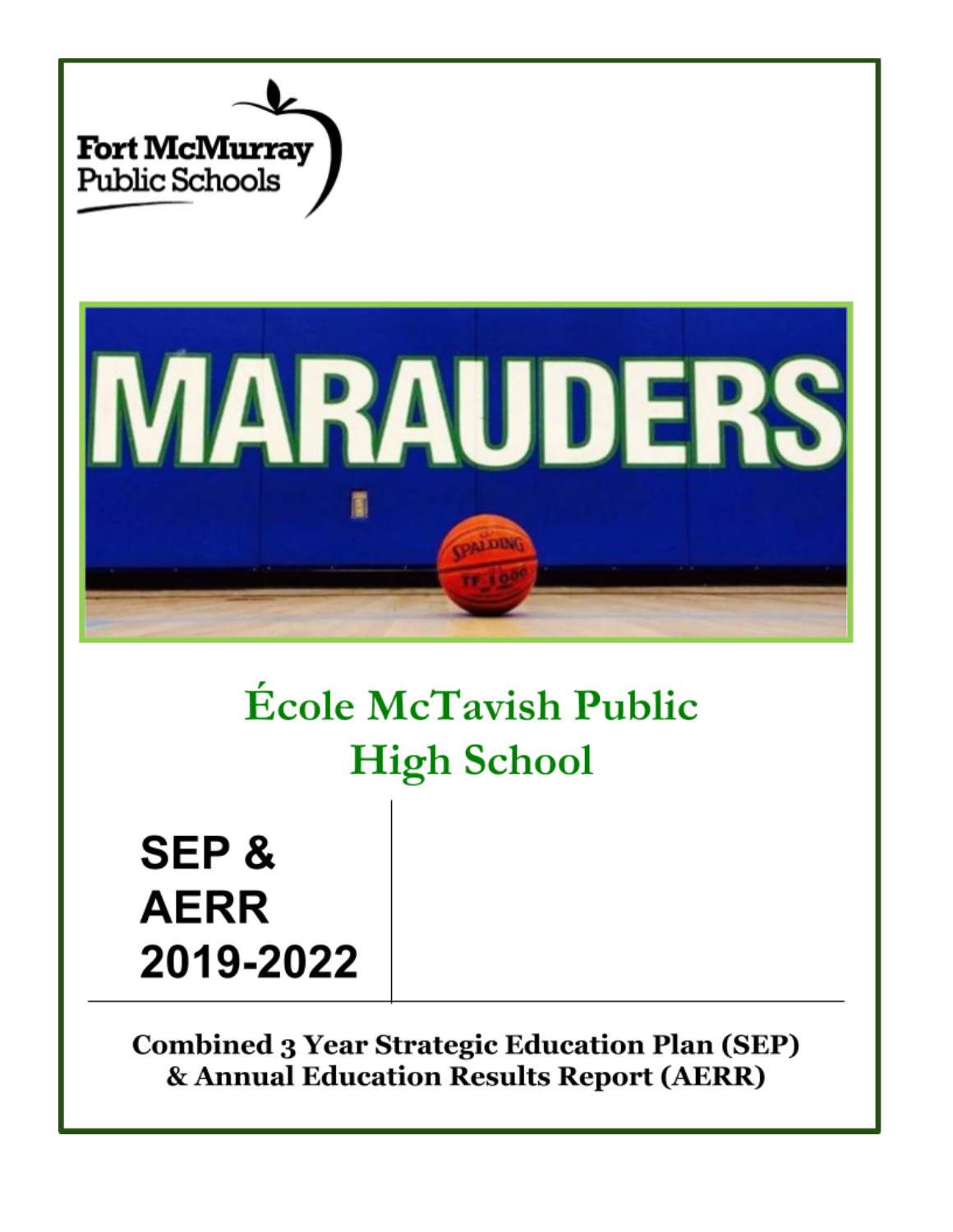

# **École McTavish Public High School**

**SEP & AERR** 2019-2022

**Combined 3 Year Strategic Education Plan (SEP)** & Annual Education Results Report (AERR)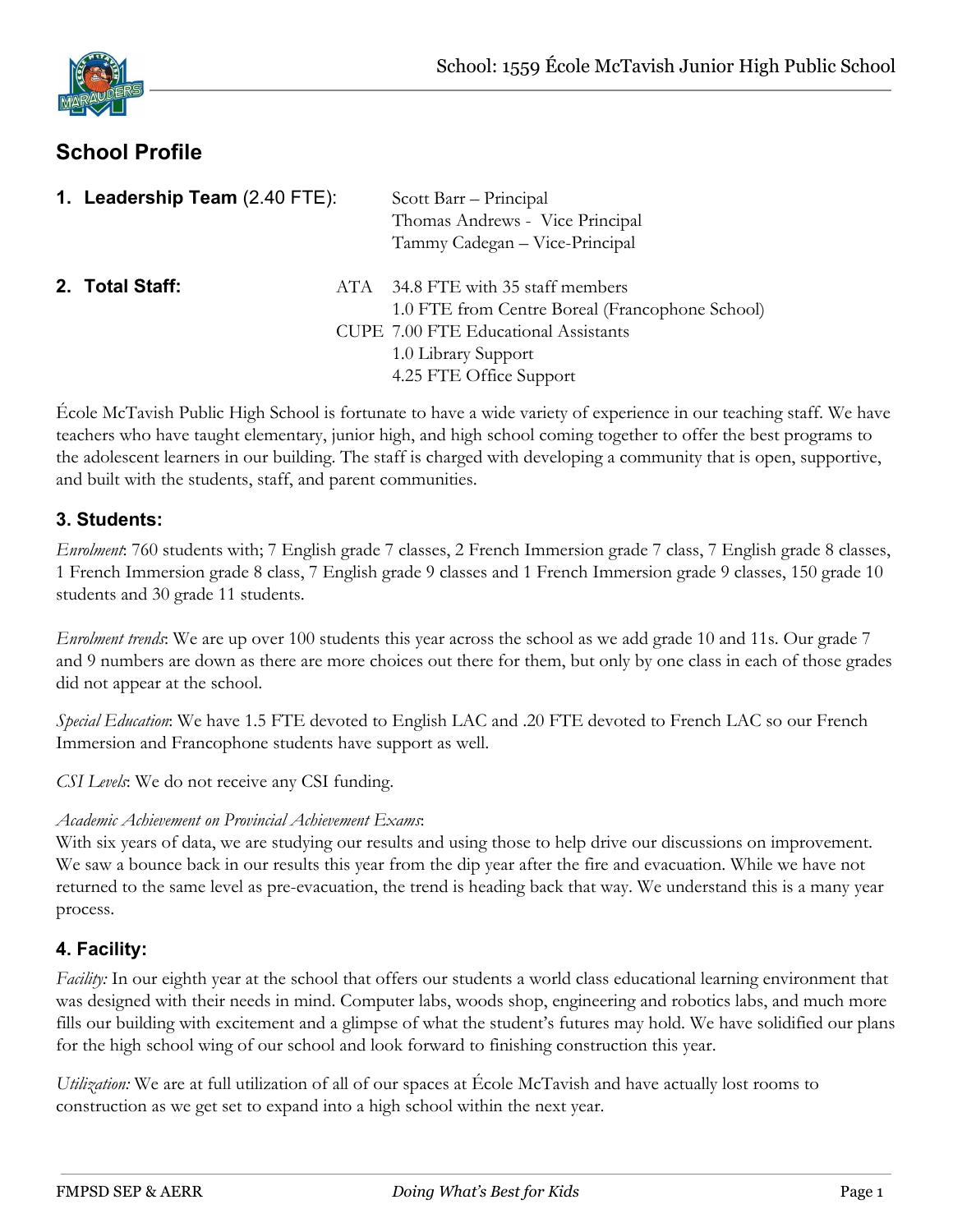# **School Profile**

| 1. Leadership Team (2.40 FTE): |     | Scott Barr – Principal<br>Thomas Andrews - Vice Principal<br>Tammy Cadegan - Vice-Principal                                                                                        |
|--------------------------------|-----|------------------------------------------------------------------------------------------------------------------------------------------------------------------------------------|
| 2. Total Staff:                | ATA | 34.8 FTE with 35 staff members<br>1.0 FTE from Centre Boreal (Francophone School)<br><b>CUPE 7.00 FTE Educational Assistants</b><br>1.0 Library Support<br>4.25 FTE Office Support |

École McTavish Public High School is fortunate to have a wide variety of experience in our teaching staff. We have teachers who have taught elementary, junior high, and high school coming together to offer the best programs to the adolescent learners in our building. The staff is charged with developing a community that is open, supportive, and built with the students, staff, and parent communities.

#### **3. Students:**

*Enrolment*: 760 students with; 7 English grade 7 classes, 2 French Immersion grade 7 class, 7 English grade 8 classes, 1 French Immersion grade 8 class, 7 English grade 9 classes and 1 French Immersion grade 9 classes, 150 grade 10 students and 30 grade 11 students.

*Enrolment trends*: We are up over 100 students this year across the school as we add grade 10 and 11s. Our grade 7 and 9 numbers are down as there are more choices out there for them, but only by one class in each of those grades did not appear at the school.

*Special Education*: We have 1.5 FTE devoted to English LAC and .20 FTE devoted to French LAC so our French Immersion and Francophone students have support as well.

*CSI Levels*: We do not receive any CSI funding.

#### *Academic Achievement on Provincial Achievement Exams*:

With six years of data, we are studying our results and using those to help drive our discussions on improvement. We saw a bounce back in our results this year from the dip year after the fire and evacuation. While we have not returned to the same level as pre-evacuation, the trend is heading back that way. We understand this is a many year process.

# **4. Facility:**

*Facility:* In our eighth year at the school that offers our students a world class educational learning environment that was designed with their needs in mind. Computer labs, woods shop, engineering and robotics labs, and much more fills our building with excitement and a glimpse of what the student's futures may hold. We have solidified our plans for the high school wing of our school and look forward to finishing construction this year.

*Utilization:* We are at full utilization of all of our spaces at École McTavish and have actually lost rooms to construction as we get set to expand into a high school within the next year.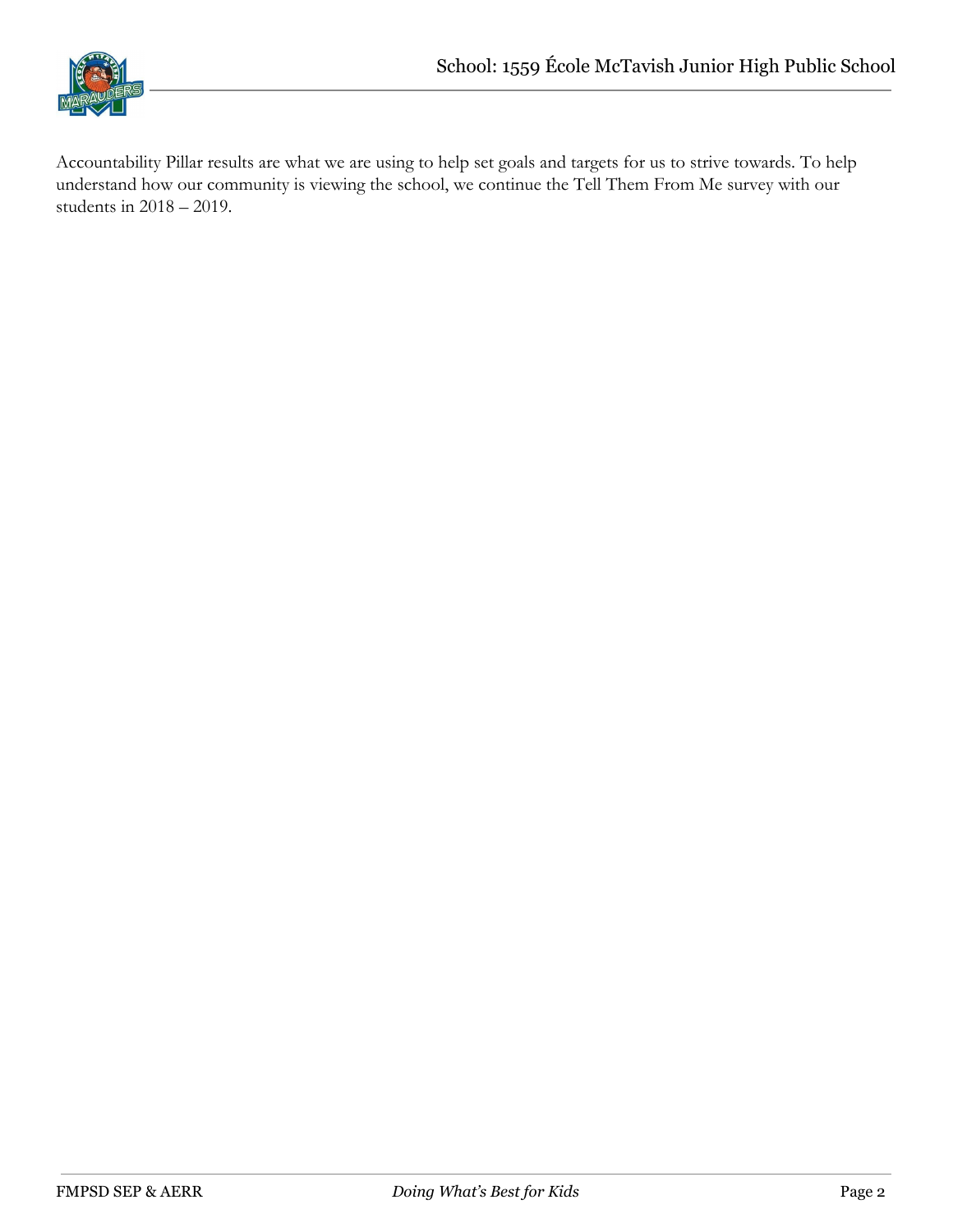

Accountability Pillar results are what we are using to help set goals and targets for us to strive towards. To help understand how our community is viewing the school, we continue the Tell Them From Me survey with our students in 2018 – 2019.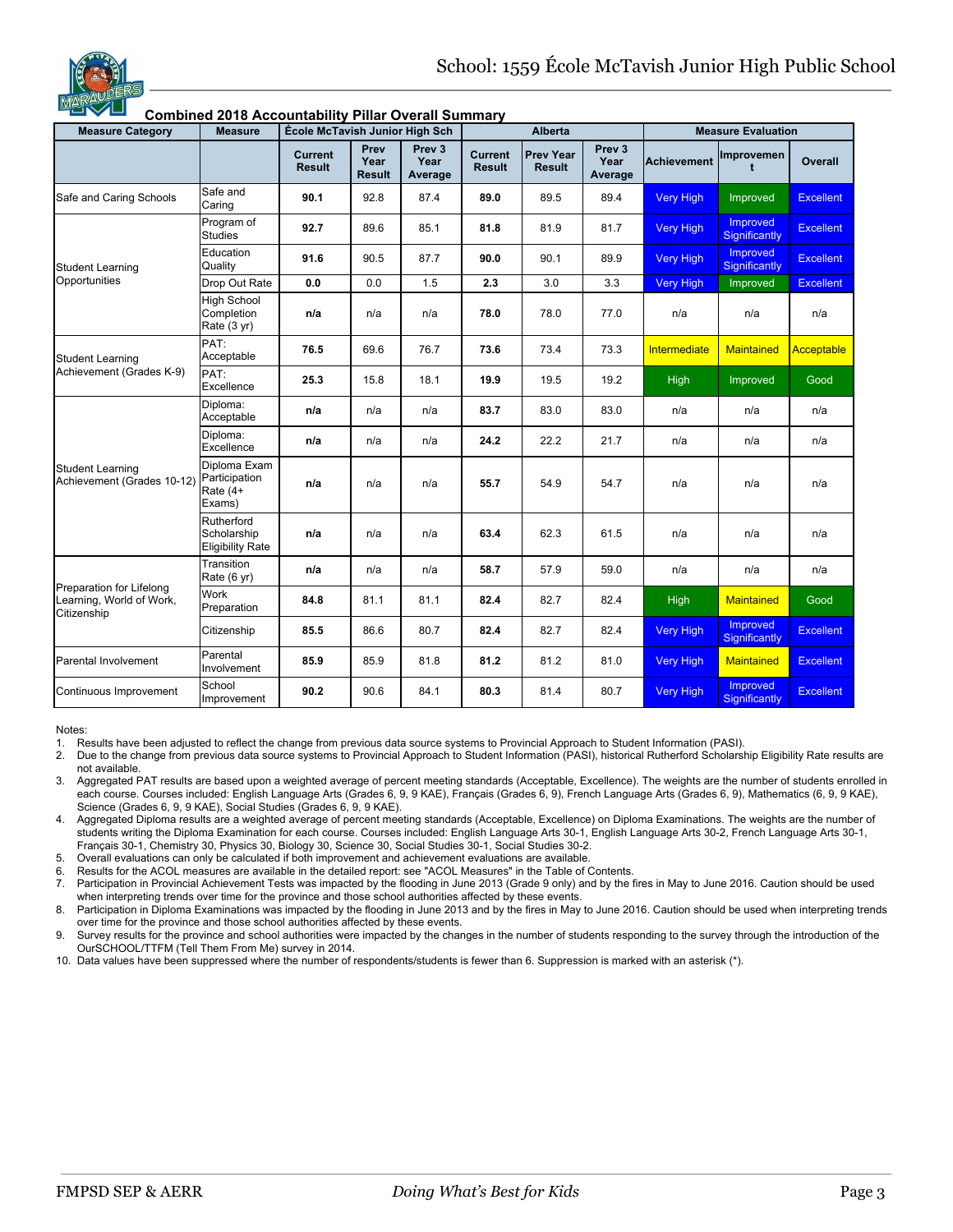

#### **Combined 2018 Accountability Pillar Overall Summary**<br>Measure Category **Neasure | École McTavish Junior High Sch Measure Category Measure École McTavish Junior High Sch Alberta Measure Evaluation Current Result Prev Year Result Prev 3 Year Average Current Result Prev Year Result Prev 3 Year Average Achievement Improvemen t Overall** Safe and Caring Schools Safe and Caring **90.1** | 92.8 | 87.4 | **89.0** | 89.5 | 89.4 | <mark>Very High I</mark>mproved | Excellent Student Learning **Opportunities** Program of Studies **92.7** 89.6 85.1 81.8 81.9 81.7 Very High **Improved Significantly Excellent** Education Quality **91.6** 90.5 87.7 **90.0** 90.1 89.9 Very High Improved **Significantly** Excellent Drop Out Rate **0.0** 0.0 1.5 **2.3** 3.0 3.3 Very High Improved Excellent High School **Completion** Rate (3 yr) **n/a** n/a n/a **78.0** 78.0 77.0 n/a n/a n/a Student Learning Achievement (Grades K-9) PAT: Acceptable **76.5** 69.6 76.7 **73.6** 73.4 73.3 Intermediate Maintained Acceptable PAT: Excellence **25.3** 15.8 18.1 **19.9** 19.5 19.2 High Improved Good Student Learning Achievement (Grades 10-12) Diploma: Acceptable **n/a** n/a n/a **83.7** 83.0 83.0 n/a n/a n/a Diploma: Excellence **n/a** n/a n/a **24.2** 22.2 21.7 n/a n/a n/a Diploma Exam Participation Rate (4+ Exams) **n/a** n/a n/a **55.7** 54.9 54.7 n/a n/a n/a Rutherford **Scholarship** Eligibility Rate **n/a** n/a n/a **63.4** 62.3 61.5 n/a n/a n/a Preparation for Lifelong Learning, World of Work, **Citizenshin** Transition Rate (6 yr) **n/a** n/a n/a **58.7** 57.9 59.0 n/a n/a n/a Work Preparation **84.8** 81.1 81.1 **82.4** 82.7 82.4 High Maintained Good Citizenship **85.5** 86.6 80.7 **82.4** 82.7 82.4 Very High **Improved Significantly Excellent** Parental Involvement Parental Involvement **85.9** 85.9 81.8 **81.2** 81.2 81.0 Very High Maintained Excellent Continuous Improvement School Improvement **90.2** 90.6 84.1 80.3 81.4 80.7 Very High Improved **Significantly** Excellent

#### Notes:

1. Results have been adjusted to reflect the change from previous data source systems to Provincial Approach to Student Information (PASI).

2. Due to the change from previous data source systems to Provincial Approach to Student Information (PASI), historical Rutherford Scholarship Eligibility Rate results are not available.

3. Aggregated PAT results are based upon a weighted average of percent meeting standards (Acceptable, Excellence). The weights are the number of students enrolled in each course. Courses included: English Language Arts (Grades 6, 9, 9 KAE), Français (Grades 6, 9), French Language Arts (Grades 6, 9), Mathematics (6, 9, 9 KAE), Science (Grades 6, 9, 9 KAE), Social Studies (Grades 6, 9, 9 KAE).

4. Aggregated Diploma results are a weighted average of percent meeting standards (Acceptable, Excellence) on Diploma Examinations. The weights are the number of students writing the Diploma Examination for each course. Courses included: English Language Arts 30-1, English Language Arts 30-2, French Language Arts 30-1, Français 30-1, Chemistry 30, Physics 30, Biology 30, Science 30, Social Studies 30-1, Social Studies 30-2.

5. Overall evaluations can only be calculated if both improvement and achievement evaluations are available.

6. Results for the ACOL measures are available in the detailed report: see "ACOL Measures" in the Table of Contents.

7. Participation in Provincial Achievement Tests was impacted by the flooding in June 2013 (Grade 9 only) and by the fires in May to June 2016. Caution should be used

when interpreting trends over time for the province and those school authorities affected by these events.

8. Participation in Diploma Examinations was impacted by the flooding in June 2013 and by the fires in May to June 2016. Caution should be used when interpreting trends over time for the province and those school authorities affected by these events.

9. Survey results for the province and school authorities were impacted by the changes in the number of students responding to the survey through the introduction of the OurSCHOOL/TTFM (Tell Them From Me) survey in 2014.

10. Data values have been suppressed where the number of respondents/students is fewer than 6. Suppression is marked with an asterisk (\*).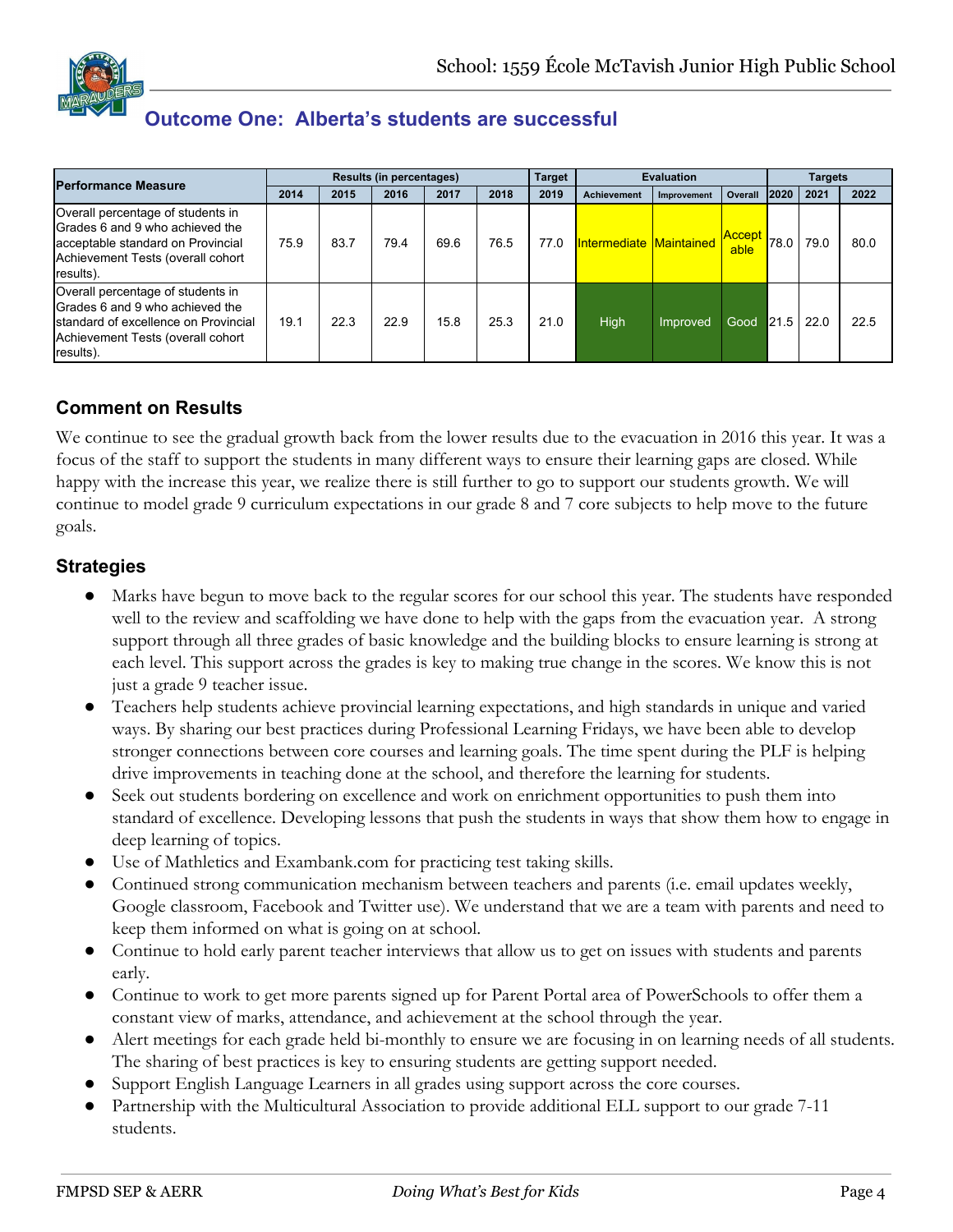# **Outcome One: Alberta's students are successful**

| <b>Performance Measure</b>                                                                                                                                      |      |      | <b>Results (in percentages)</b> |      |      | <b>Target</b> |                         | <b>Evaluation</b> |                       |      | <b>Targets</b> |      |
|-----------------------------------------------------------------------------------------------------------------------------------------------------------------|------|------|---------------------------------|------|------|---------------|-------------------------|-------------------|-----------------------|------|----------------|------|
|                                                                                                                                                                 | 2014 | 2015 | 2016                            | 2017 | 2018 | 2019          | <b>Achievement</b>      | Improvement       | Overall               | 2020 | 2021           | 2022 |
| Overall percentage of students in<br>Grades 6 and 9 who achieved the<br>acceptable standard on Provincial<br>Achievement Tests (overall cohort<br>results).     | 75.9 | 83.7 | 79.4                            | 69.6 | 76.5 | 77.0          | Intermediate Maintained |                   | <b>Accept</b><br>able | 78.0 | 79.0           | 80.0 |
| Overall percentage of students in<br>Grades 6 and 9 who achieved the<br>Istandard of excellence on Provincial<br>Achievement Tests (overall cohort<br>results). | 19.1 | 22.3 | 22.9                            | 15.8 | 25.3 | 21.0          | High                    | Improved          | Good                  | 21.5 | 22.0           | 22.5 |

# **Comment on Results**

We continue to see the gradual growth back from the lower results due to the evacuation in 2016 this year. It was a focus of the staff to support the students in many different ways to ensure their learning gaps are closed. While happy with the increase this year, we realize there is still further to go to support our students growth. We will continue to model grade 9 curriculum expectations in our grade 8 and 7 core subjects to help move to the future goals.

#### **Strategies**

- Marks have begun to move back to the regular scores for our school this year. The students have responded well to the review and scaffolding we have done to help with the gaps from the evacuation year. A strong support through all three grades of basic knowledge and the building blocks to ensure learning is strong at each level. This support across the grades is key to making true change in the scores. We know this is not just a grade 9 teacher issue.
- Teachers help students achieve provincial learning expectations, and high standards in unique and varied ways. By sharing our best practices during Professional Learning Fridays, we have been able to develop stronger connections between core courses and learning goals. The time spent during the PLF is helping drive improvements in teaching done at the school, and therefore the learning for students.
- Seek out students bordering on excellence and work on enrichment opportunities to push them into standard of excellence. Developing lessons that push the students in ways that show them how to engage in deep learning of topics.
- Use of Mathletics and Exambank.com for practicing test taking skills.
- Continued strong communication mechanism between teachers and parents (i.e. email updates weekly, Google classroom, Facebook and Twitter use). We understand that we are a team with parents and need to keep them informed on what is going on at school.
- Continue to hold early parent teacher interviews that allow us to get on issues with students and parents early.
- Continue to work to get more parents signed up for Parent Portal area of PowerSchools to offer them a constant view of marks, attendance, and achievement at the school through the year.
- Alert meetings for each grade held bi-monthly to ensure we are focusing in on learning needs of all students. The sharing of best practices is key to ensuring students are getting support needed.
- Support English Language Learners in all grades using support across the core courses.
- Partnership with the Multicultural Association to provide additional ELL support to our grade 7-11 students.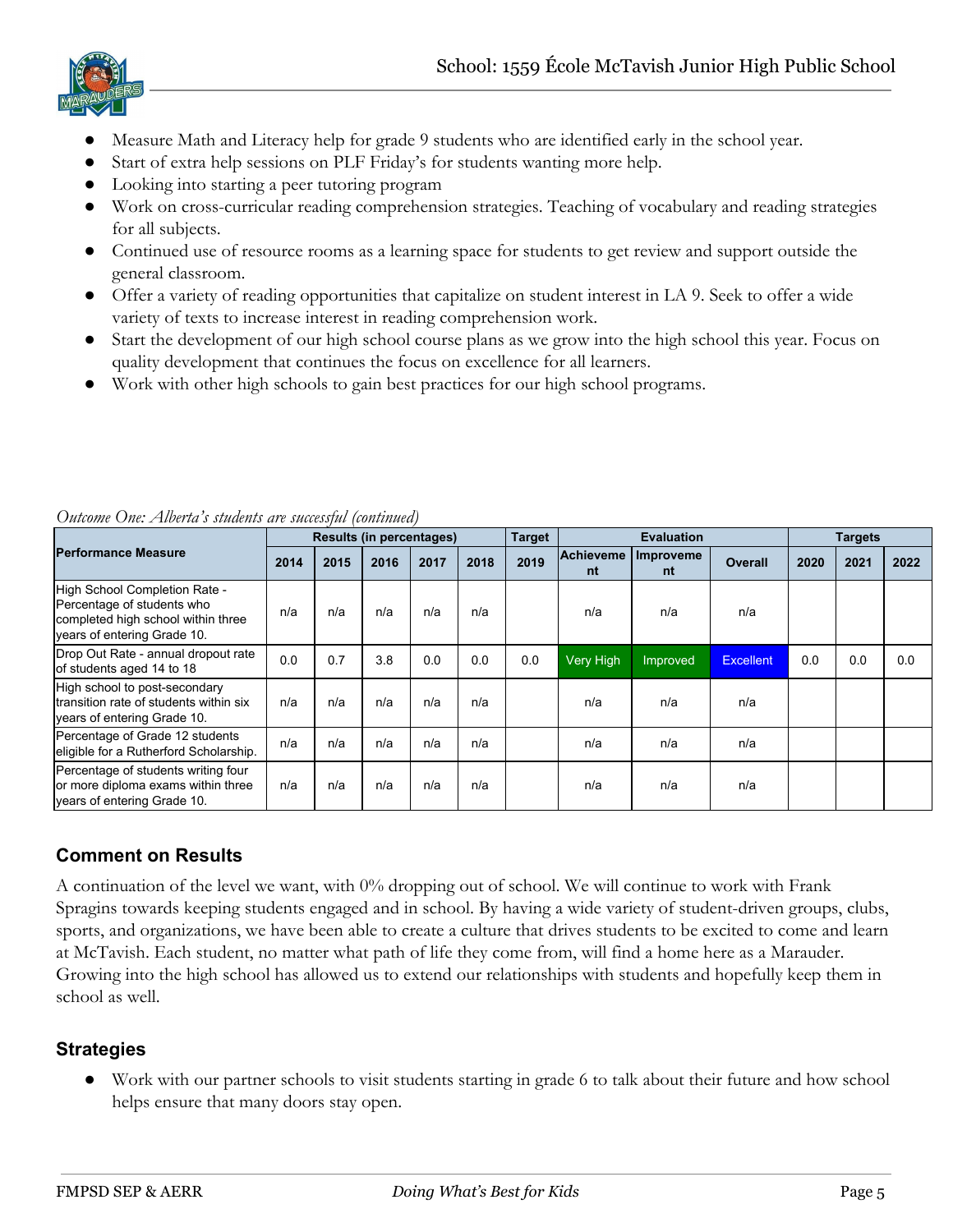

- Measure Math and Literacy help for grade 9 students who are identified early in the school year.
- Start of extra help sessions on PLF Friday's for students wanting more help.
- Looking into starting a peer tutoring program
- Work on cross-curricular reading comprehension strategies. Teaching of vocabulary and reading strategies for all subjects.
- Continued use of resource rooms as a learning space for students to get review and support outside the general classroom.
- Offer a variety of reading opportunities that capitalize on student interest in LA 9. Seek to offer a wide variety of texts to increase interest in reading comprehension work.
- Start the development of our high school course plans as we grow into the high school this year. Focus on quality development that continues the focus on excellence for all learners.
- Work with other high schools to gain best practices for our high school programs.

|                                                                                                                                  |      |      |      | <b>Results (in percentages)</b> |      | <b>Target</b> |                 | <b>Evaluation</b> |                  |      | <b>Targets</b> |      |
|----------------------------------------------------------------------------------------------------------------------------------|------|------|------|---------------------------------|------|---------------|-----------------|-------------------|------------------|------|----------------|------|
| <b>Performance Measure</b>                                                                                                       | 2014 | 2015 | 2016 | 2017                            | 2018 | 2019          | Achieveme<br>nt | Improveme<br>nt   | <b>Overall</b>   | 2020 | 2021           | 2022 |
| High School Completion Rate -<br>Percentage of students who<br>completed high school within three<br>vears of entering Grade 10. | n/a  | n/a  | n/a  | n/a                             | n/a  |               | n/a             | n/a               | n/a              |      |                |      |
| Drop Out Rate - annual dropout rate<br>of students aged 14 to 18                                                                 | 0.0  | 0.7  | 3.8  | 0.0                             | 0.0  | 0.0           | Very High       | Improved          | <b>Excellent</b> | 0.0  | 0.0            | 0.0  |
| High school to post-secondary<br>Itransition rate of students within six<br>vears of entering Grade 10.                          | n/a  | n/a  | n/a  | n/a                             | n/a  |               | n/a             | n/a               | n/a              |      |                |      |
| Percentage of Grade 12 students<br>eligible for a Rutherford Scholarship.                                                        | n/a  | n/a  | n/a  | n/a                             | n/a  |               | n/a             | n/a               | n/a              |      |                |      |
| Percentage of students writing four<br>or more diploma exams within three<br>vears of entering Grade 10.                         | n/a  | n/a  | n/a  | n/a                             | n/a  |               | n/a             | n/a               | n/a              |      |                |      |

*Outcome One: Alberta's students are successful (continued)*

# **Comment on Results**

A continuation of the level we want, with 0% dropping out of school. We will continue to work with Frank Spragins towards keeping students engaged and in school. By having a wide variety of student-driven groups, clubs, sports, and organizations, we have been able to create a culture that drives students to be excited to come and learn at McTavish. Each student, no matter what path of life they come from, will find a home here as a Marauder. Growing into the high school has allowed us to extend our relationships with students and hopefully keep them in school as well.

# **Strategies**

● Work with our partner schools to visit students starting in grade 6 to talk about their future and how school helps ensure that many doors stay open.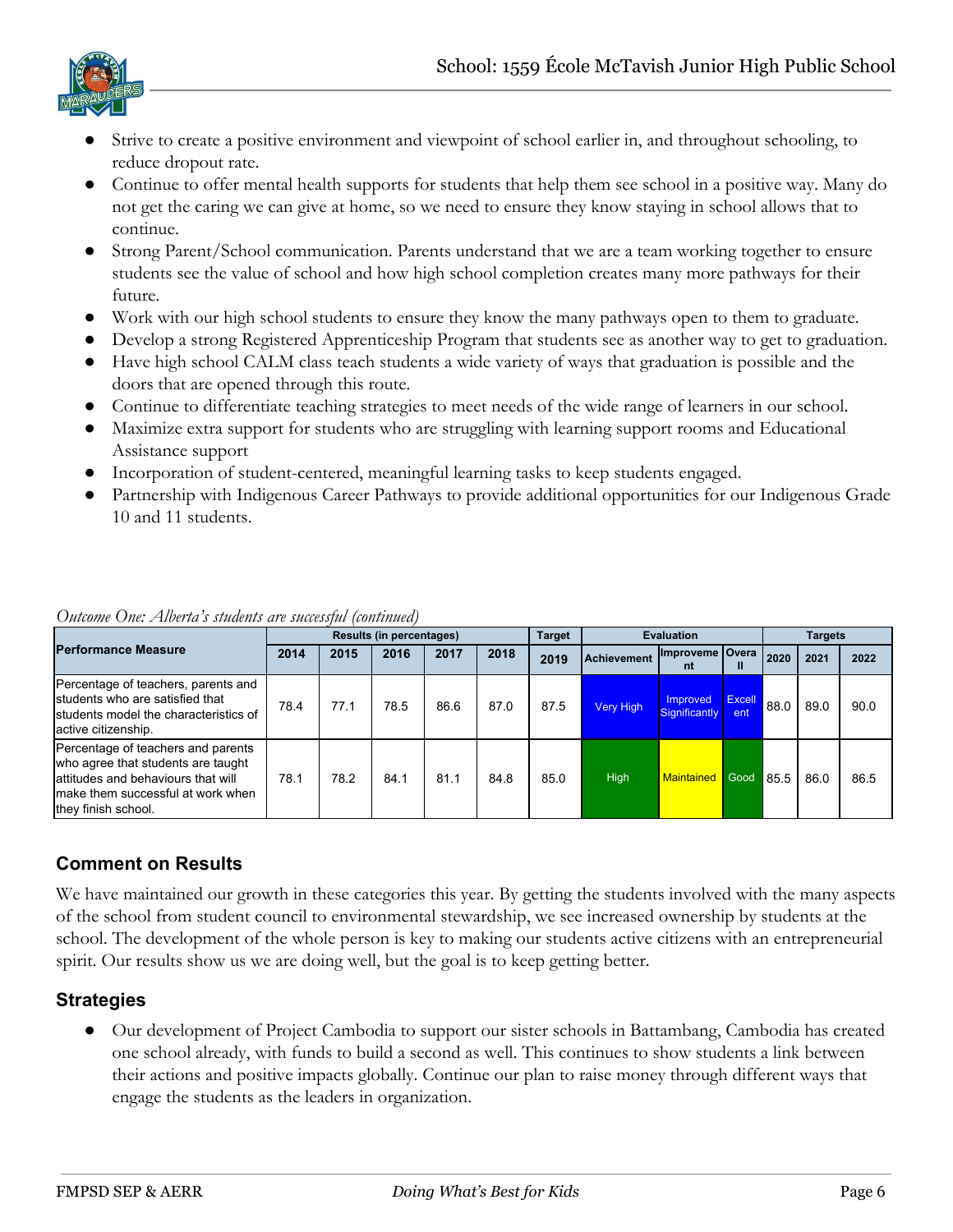

- Strive to create a positive environment and viewpoint of school earlier in, and throughout schooling, to reduce dropout rate.
- Continue to offer mental health supports for students that help them see school in a positive way. Many do not get the caring we can give at home, so we need to ensure they know staying in school allows that to continue.
- Strong Parent/School communication. Parents understand that we are a team working together to ensure students see the value of school and how high school completion creates many more pathways for their future.
- Work with our high school students to ensure they know the many pathways open to them to graduate.
- Develop a strong Registered Apprenticeship Program that students see as another way to get to graduation.
- Have high school CALM class teach students a wide variety of ways that graduation is possible and the doors that are opened through this route.
- Continue to differentiate teaching strategies to meet needs of the wide range of learners in our school.
- Maximize extra support for students who are struggling with learning support rooms and Educational Assistance support
- Incorporation of student-centered, meaningful learning tasks to keep students engaged.
- Partnership with Indigenous Career Pathways to provide additional opportunities for our Indigenous Grade 10 and 11 students.

|                                                                                                                                                                             |      |      | <b>Results (in percentages)</b> |      |      | <b>Target</b> |                    | <b>Evaluation</b>         |                |      | <b>Targets</b> |      |
|-----------------------------------------------------------------------------------------------------------------------------------------------------------------------------|------|------|---------------------------------|------|------|---------------|--------------------|---------------------------|----------------|------|----------------|------|
| <b>Performance Measure</b>                                                                                                                                                  | 2014 | 2015 | 2016                            | 2017 | 2018 | 2019          | <b>Achievement</b> | Improveme Overa<br>nt     | Ш              | 2020 | 2021           | 2022 |
| Percentage of teachers, parents and<br>students who are satisfied that<br>Istudents model the characteristics of<br>active citizenship.                                     | 78.4 | 77.1 | 78.5                            | 86.6 | 87.0 | 87.5          | <b>Very High</b>   | Improved<br>Significantly | Excell<br>ent. | 88.0 | 89.0           | 90.0 |
| Percentage of teachers and parents<br>who agree that students are taught<br>lattitudes and behaviours that will<br>make them successful at work when<br>they finish school. | 78.1 | 78.2 | 84.1                            | 81.1 | 84.8 | 85.0          | High               | <b>Maintained</b>         | Good           | 85.5 | 86.0           | 86.5 |

#### *Outcome One: Alberta's students are successful (continued)*

# **Comment on Results**

We have maintained our growth in these categories this year. By getting the students involved with the many aspects of the school from student council to environmental stewardship, we see increased ownership by students at the school. The development of the whole person is key to making our students active citizens with an entrepreneurial spirit. Our results show us we are doing well, but the goal is to keep getting better.

#### **Strategies**

Our development of Project Cambodia to support our sister schools in Battambang, Cambodia has created one school already, with funds to build a second as well. This continues to show students a link between their actions and positive impacts globally. Continue our plan to raise money through different ways that engage the students as the leaders in organization.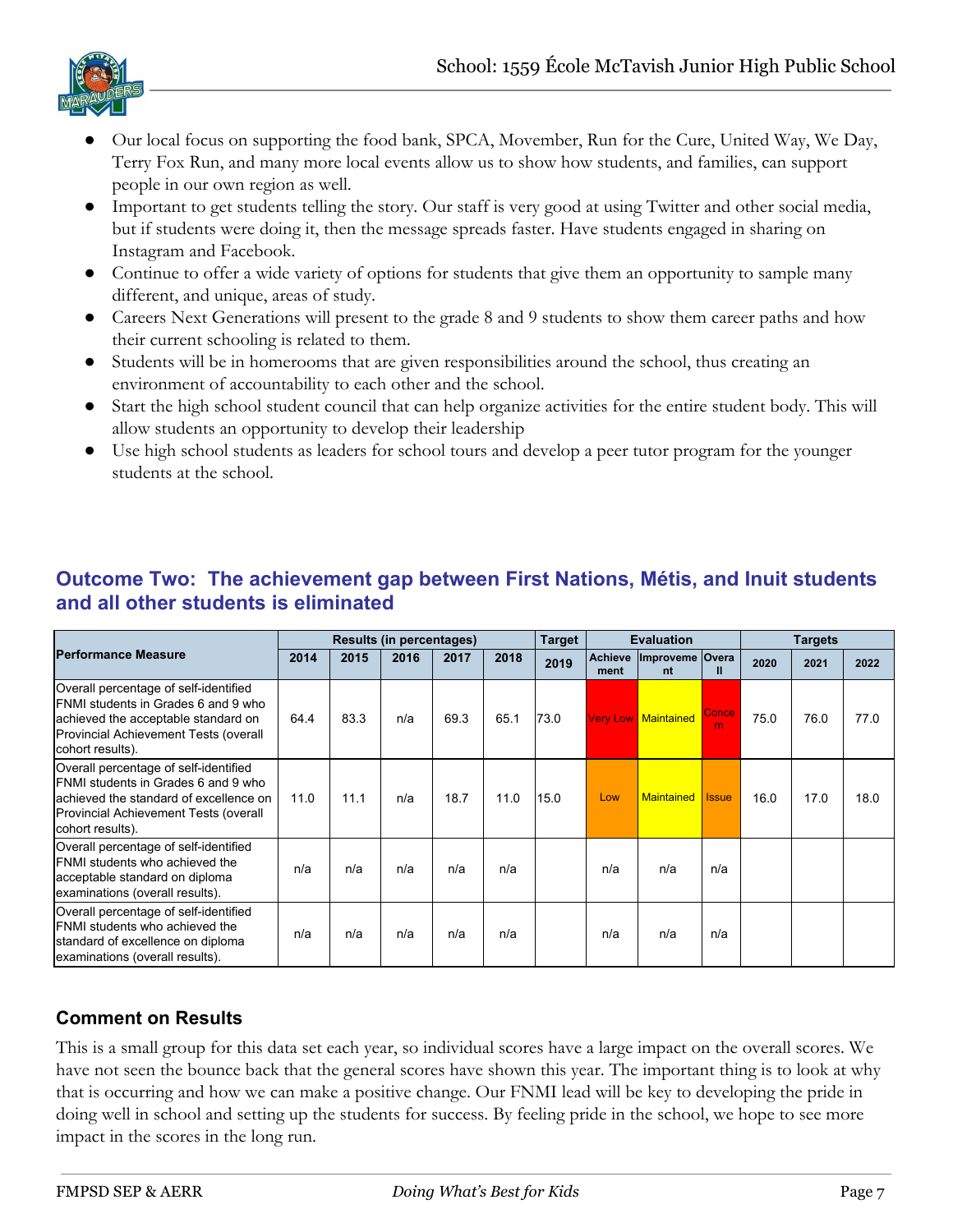

- Our local focus on supporting the food bank, SPCA, Movember, Run for the Cure, United Way, We Day, Terry Fox Run, and many more local events allow us to show how students, and families, can support people in our own region as well.
- Important to get students telling the story. Our staff is very good at using Twitter and other social media, but if students were doing it, then the message spreads faster. Have students engaged in sharing on Instagram and Facebook.
- Continue to offer a wide variety of options for students that give them an opportunity to sample many different, and unique, areas of study.
- Careers Next Generations will present to the grade 8 and 9 students to show them career paths and how their current schooling is related to them.
- Students will be in homerooms that are given responsibilities around the school, thus creating an environment of accountability to each other and the school.
- Start the high school student council that can help organize activities for the entire student body. This will allow students an opportunity to develop their leadership
- Use high school students as leaders for school tours and develop a peer tutor program for the younger students at the school.

|                                                                                                                                                                                      |      |      | <b>Results (in percentages)</b> |      |      | <b>Target</b> |                        | <b>Evaluation</b>          |                   |      | <b>Targets</b> |      |
|--------------------------------------------------------------------------------------------------------------------------------------------------------------------------------------|------|------|---------------------------------|------|------|---------------|------------------------|----------------------------|-------------------|------|----------------|------|
| <b>Performance Measure</b>                                                                                                                                                           | 2014 | 2015 | 2016                            | 2017 | 2018 | 2019          | <b>Achieve</b><br>ment | Improveme Overa<br>nt      | Ш                 | 2020 | 2021           | 2022 |
| Overall percentage of self-identified<br>IFNMI students in Grades 6 and 9 who<br>achieved the acceptable standard on<br>Provincial Achievement Tests (overall<br>cohort results).    | 64.4 | 83.3 | n/a                             | 69.3 | 65.1 | 73.0          |                        | <b>Very Low Maintained</b> | <b>Conce</b><br>m | 75.0 | 76.0           | 77.0 |
| Overall percentage of self-identified<br>IFNMI students in Grades 6 and 9 who<br>achieved the standard of excellence on<br>Provincial Achievement Tests (overall<br>cohort results). | 11.0 | 11.1 | n/a                             | 18.7 | 11.0 | 15.0          | Low                    | <b>Maintained</b>          | <b>Issue</b>      | 16.0 | 17.0           | 18.0 |
| Overall percentage of self-identified<br><b>IFNMI</b> students who achieved the<br>acceptable standard on diploma<br>examinations (overall results).                                 | n/a  | n/a  | n/a                             | n/a  | n/a  |               | n/a                    | n/a                        | n/a               |      |                |      |
| Overall percentage of self-identified<br><b>FNMI</b> students who achieved the<br>standard of excellence on diploma<br>examinations (overall results).                               | n/a  | n/a  | n/a                             | n/a  | n/a  |               | n/a                    | n/a                        | n/a               |      |                |      |

# **Outcome Two: The achievement gap between First Nations, Métis, and Inuit students and all other students is eliminated**

# **Comment on Results**

This is a small group for this data set each year, so individual scores have a large impact on the overall scores. We have not seen the bounce back that the general scores have shown this year. The important thing is to look at why that is occurring and how we can make a positive change. Our FNMI lead will be key to developing the pride in doing well in school and setting up the students for success. By feeling pride in the school, we hope to see more impact in the scores in the long run.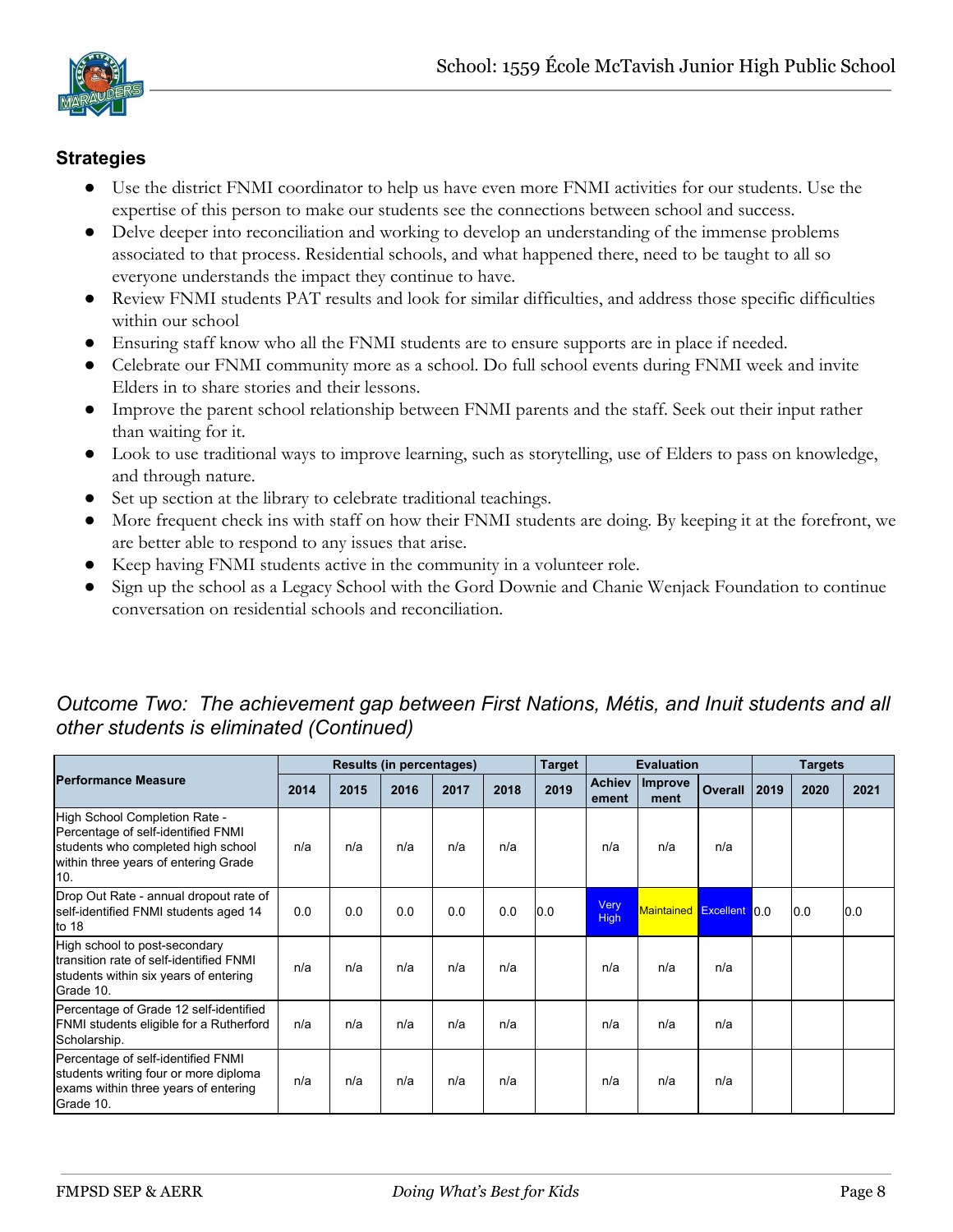

#### **Strategies**

- *●* Use the district FNMI coordinator to help us have even more FNMI activities for our students. Use the expertise of this person to make our students see the connections between school and success.
- *●* Delve deeper into reconciliation and working to develop an understanding of the immense problems associated to that process. Residential schools, and what happened there, need to be taught to all so everyone understands the impact they continue to have.
- *●* Review FNMI students PAT results and look for similar difficulties, and address those specific difficulties within our school
- Ensuring staff know who all the FNMI students are to ensure supports are in place if needed.
- *●* Celebrate our FNMI community more as a school. Do full school events during FNMI week and invite Elders in to share stories and their lessons.
- Improve the parent school relationship between FNMI parents and the staff. Seek out their input rather than waiting for it.
- *●* Look to use traditional ways to improve learning, such as storytelling, use of Elders to pass on knowledge, and through nature.
- *●* Set up section at the library to celebrate traditional teachings.
- More frequent check ins with staff on how their FNMI students are doing. By keeping it at the forefront, we are better able to respond to any issues that arise.
- Keep having FNMI students active in the community in a volunteer role.
- Sign up the school as a Legacy School with the Gord Downie and Chanie Wenjack Foundation to continue conversation on residential schools and reconciliation.

|                                                                                                                                                          |      |      | <b>Results (in percentages)</b> |      |      | <b>Target</b> |                        | <b>Evaluation</b>        |         |      | <b>Targets</b> |      |
|----------------------------------------------------------------------------------------------------------------------------------------------------------|------|------|---------------------------------|------|------|---------------|------------------------|--------------------------|---------|------|----------------|------|
| <b>Performance Measure</b>                                                                                                                               | 2014 | 2015 | 2016                            | 2017 | 2018 | 2019          | <b>Achiev</b><br>ement | <b>Improve</b><br>ment   | Overall | 2019 | 2020           | 2021 |
| High School Completion Rate -<br>Percentage of self-identified FNMI<br>students who completed high school<br>within three years of entering Grade<br>10. | n/a  | n/a  | n/a                             | n/a  | n/a  |               | n/a                    | n/a                      | n/a     |      |                |      |
| Drop Out Rate - annual dropout rate of<br>self-identified FNMI students aged 14<br>to $18$                                                               | 0.0  | 0.0  | 0.0                             | 0.0  | 0.0  | 0.0           | Very<br><b>High</b>    | Maintained Excellent 0.0 |         |      | 0.0            | 0.0  |
| High school to post-secondary<br>Itransition rate of self-identified FNMI<br>students within six years of entering<br>Grade 10.                          | n/a  | n/a  | n/a                             | n/a  | n/a  |               | n/a                    | n/a                      | n/a     |      |                |      |
| Percentage of Grade 12 self-identified<br>FNMI students eligible for a Rutherford<br>Scholarship.                                                        | n/a  | n/a  | n/a                             | n/a  | n/a  |               | n/a                    | n/a                      | n/a     |      |                |      |
| Percentage of self-identified FNMI<br>students writing four or more diploma<br>exams within three years of entering<br>Grade 10.                         | n/a  | n/a  | n/a                             | n/a  | n/a  |               | n/a                    | n/a                      | n/a     |      |                |      |

# *Outcome Two: The achievement gap between First Nations, Métis, and Inuit students and all other students is eliminated (Continued)*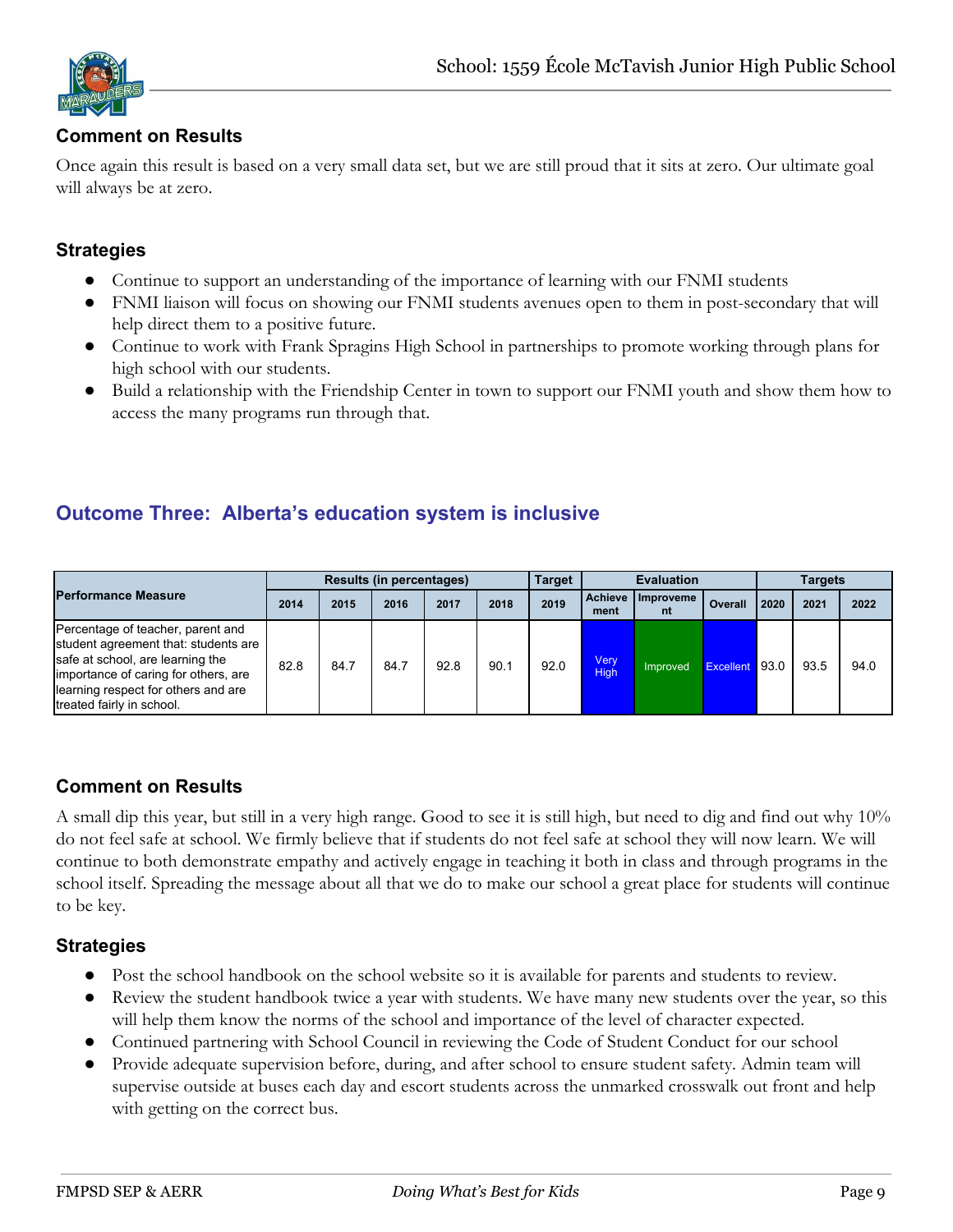

#### **Comment on Results**

Once again this result is based on a very small data set, but we are still proud that it sits at zero. Our ultimate goal will always be at zero.

#### **Strategies**

- Continue to support an understanding of the importance of learning with our FNMI students
- FNMI liaison will focus on showing our FNMI students avenues open to them in post-secondary that will help direct them to a positive future.
- Continue to work with Frank Spragins High School in partnerships to promote working through plans for high school with our students.
- Build a relationship with the Friendship Center in town to support our FNMI youth and show them how to access the many programs run through that.

# **Outcome Three: Alberta's education system is inclusive**

|                                                                                                                                                                                                                           |      |      | <b>Results (in percentages)</b> |      |      | <b>Target</b> |                        | <b>Evaluation</b> |                |      | Targets |      |
|---------------------------------------------------------------------------------------------------------------------------------------------------------------------------------------------------------------------------|------|------|---------------------------------|------|------|---------------|------------------------|-------------------|----------------|------|---------|------|
| <b>Performance Measure</b>                                                                                                                                                                                                | 2014 | 2015 | 2016                            | 2017 | 2018 | 2019          | <b>Achieve</b><br>ment | Improveme<br>nt   | Overall        | 2020 | 2021    | 2022 |
| Percentage of teacher, parent and<br>student agreement that: students are<br>safe at school, are learning the<br>importance of caring for others, are<br>learning respect for others and are<br>treated fairly in school. | 82.8 | 84.7 | 84.7                            | 92.8 | 90.1 | 92.0          | Very<br><b>High</b>    | Improved          | Excellent 93.0 |      | 93.5    | 94.0 |

# **Comment on Results**

A small dip this year, but still in a very high range. Good to see it is still high, but need to dig and find out why 10% do not feel safe at school. We firmly believe that if students do not feel safe at school they will now learn. We will continue to both demonstrate empathy and actively engage in teaching it both in class and through programs in the school itself. Spreading the message about all that we do to make our school a great place for students will continue to be key.

#### **Strategies**

- Post the school handbook on the school website so it is available for parents and students to review.
- Review the student handbook twice a year with students. We have many new students over the year, so this will help them know the norms of the school and importance of the level of character expected.
- Continued partnering with School Council in reviewing the Code of Student Conduct for our school
- Provide adequate supervision before, during, and after school to ensure student safety. Admin team will supervise outside at buses each day and escort students across the unmarked crosswalk out front and help with getting on the correct bus.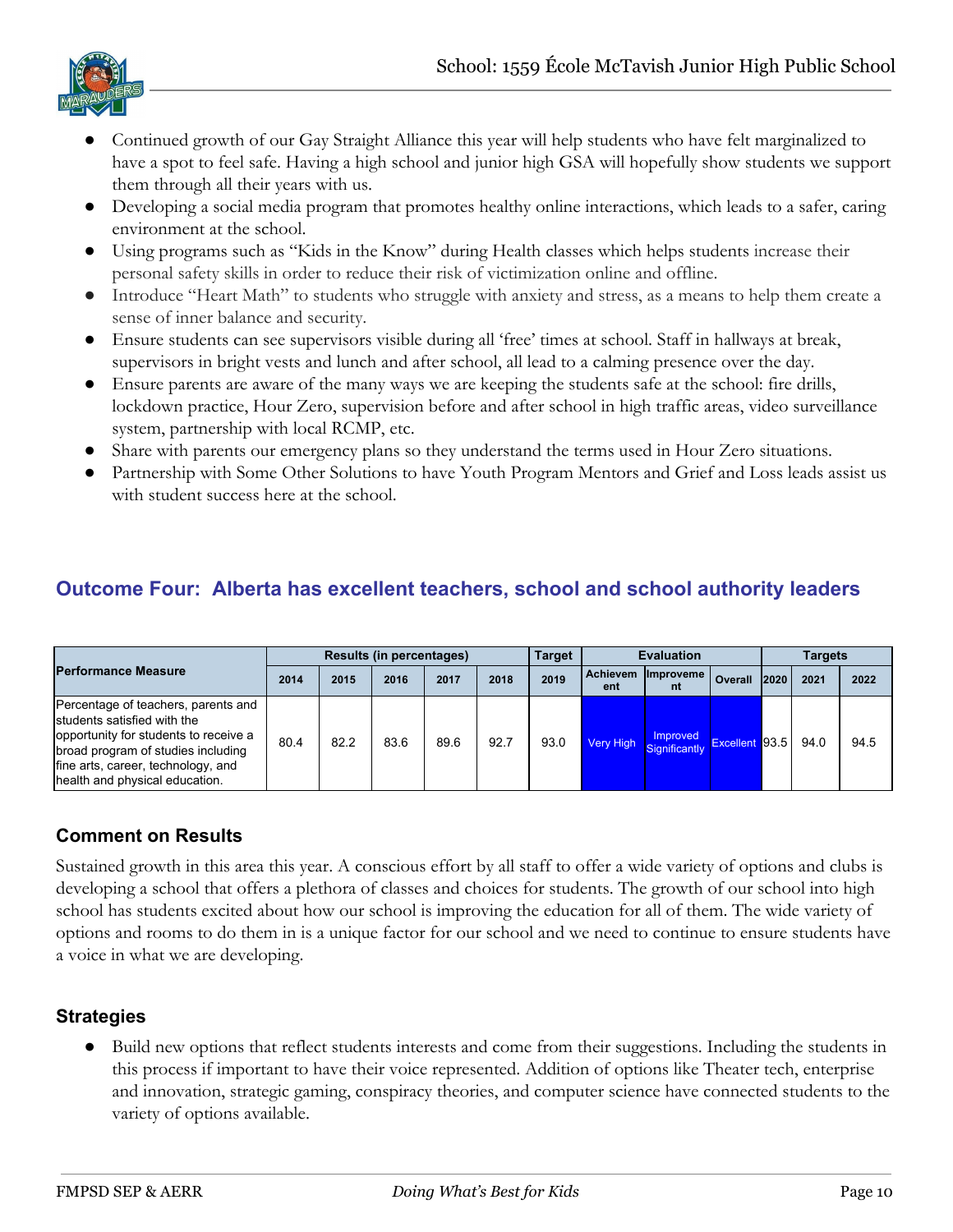

- Continued growth of our Gay Straight Alliance this year will help students who have felt marginalized to have a spot to feel safe. Having a high school and junior high GSA will hopefully show students we support them through all their years with us.
- Developing a social media program that promotes healthy online interactions, which leads to a safer, caring environment at the school.
- Using programs such as "Kids in the Know" during Health classes which helps students increase their personal safety skills in order to reduce their risk of victimization online and offline.
- Introduce "Heart Math" to students who struggle with anxiety and stress, as a means to help them create a sense of inner balance and security.
- Ensure students can see supervisors visible during all 'free' times at school. Staff in hallways at break, supervisors in bright vests and lunch and after school, all lead to a calming presence over the day.
- Ensure parents are aware of the many ways we are keeping the students safe at the school: fire drills, lockdown practice, Hour Zero, supervision before and after school in high traffic areas, video surveillance system, partnership with local RCMP, etc.
- Share with parents our emergency plans so they understand the terms used in Hour Zero situations.
- Partnership with Some Other Solutions to have Youth Program Mentors and Grief and Loss leads assist us with student success here at the school.

# **Outcome Four: Alberta has excellent teachers, school and school authority leaders**

|                                                                                                                                                                                                                           |      |      | Results (in percentages) |      |      | <b>Target</b> |                 | <b>Evaluation</b>         |                |                | <b>Targets</b> |      |
|---------------------------------------------------------------------------------------------------------------------------------------------------------------------------------------------------------------------------|------|------|--------------------------|------|------|---------------|-----------------|---------------------------|----------------|----------------|----------------|------|
| <b>Performance Measure</b>                                                                                                                                                                                                | 2014 | 2015 | 2016                     | 2017 | 2018 | 2019          | Achievem<br>ent | <b>Ilmproveme</b><br>nt   | Overall        | $ 2020\rangle$ | 2021           | 2022 |
| Percentage of teachers, parents and<br>students satisfied with the<br>opportunity for students to receive a<br>broad program of studies including<br>fine arts, career, technology, and<br>health and physical education. | 80.4 | 82.2 | 83.6                     | 89.6 | 92.7 | 93.0          | Very High       | Improved<br>Significantly | Excellent 93.5 |                | 94.0           | 94.5 |

# **Comment on Results**

Sustained growth in this area this year. A conscious effort by all staff to offer a wide variety of options and clubs is developing a school that offers a plethora of classes and choices for students. The growth of our school into high school has students excited about how our school is improving the education for all of them. The wide variety of options and rooms to do them in is a unique factor for our school and we need to continue to ensure students have a voice in what we are developing.

#### **Strategies**

Build new options that reflect students interests and come from their suggestions. Including the students in this process if important to have their voice represented. Addition of options like Theater tech, enterprise and innovation, strategic gaming, conspiracy theories, and computer science have connected students to the variety of options available.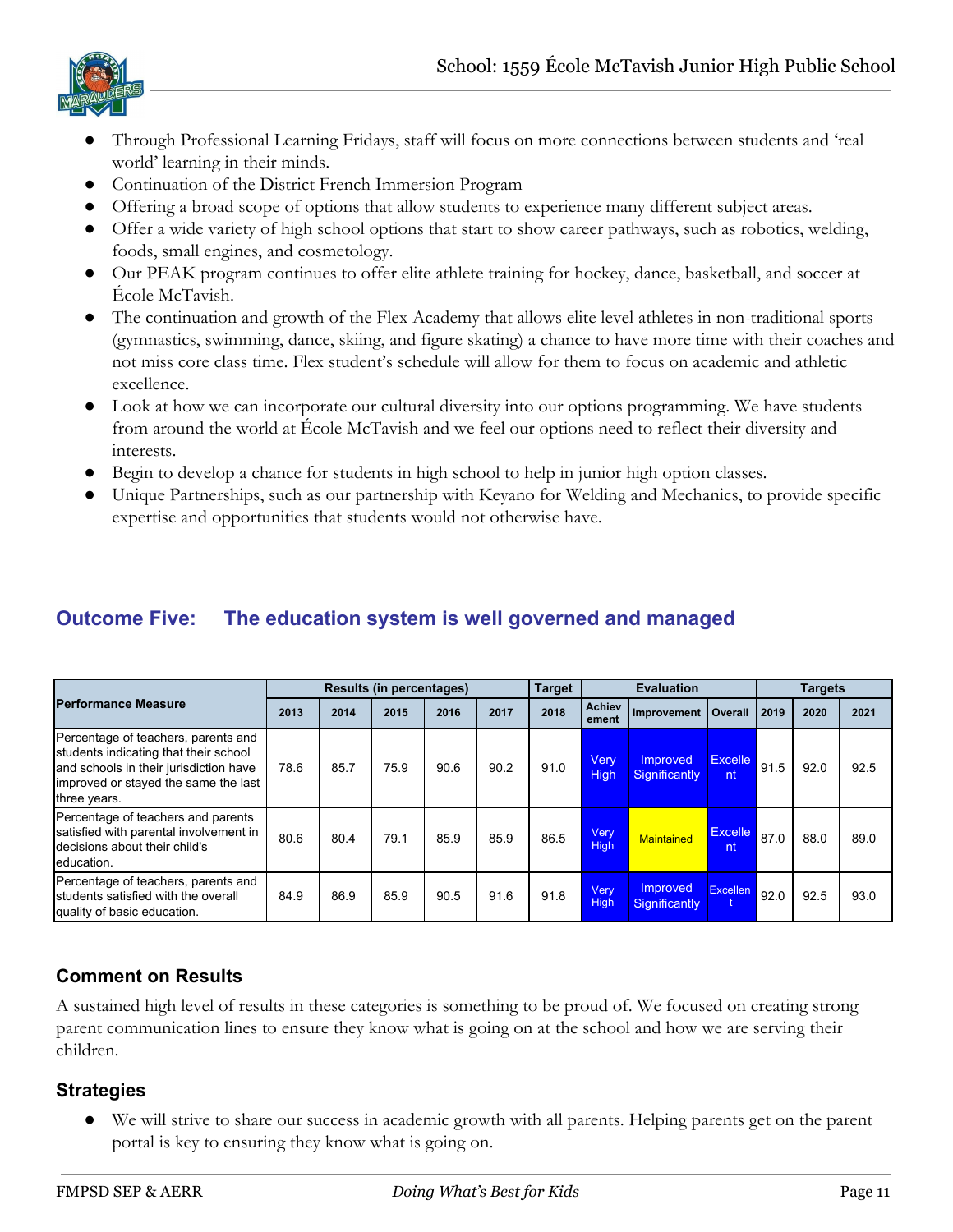

- Through Professional Learning Fridays, staff will focus on more connections between students and 'real world' learning in their minds.
- Continuation of the District French Immersion Program
- Offering a broad scope of options that allow students to experience many different subject areas.
- Offer a wide variety of high school options that start to show career pathways, such as robotics, welding, foods, small engines, and cosmetology.
- Our PEAK program continues to offer elite athlete training for hockey, dance, basketball, and soccer at École McTavish.
- The continuation and growth of the Flex Academy that allows elite level athletes in non-traditional sports (gymnastics, swimming, dance, skiing, and figure skating) a chance to have more time with their coaches and not miss core class time. Flex student's schedule will allow for them to focus on academic and athletic excellence.
- Look at how we can incorporate our cultural diversity into our options programming. We have students from around the world at École McTavish and we feel our options need to reflect their diversity and interests.
- Begin to develop a chance for students in high school to help in junior high option classes.
- Unique Partnerships, such as our partnership with Keyano for Welding and Mechanics, to provide specific expertise and opportunities that students would not otherwise have.

# **Outcome Five: The education system is well governed and managed**

|                                                                                                                                                                                |      |      | <b>Results (in percentages)</b> |      |      | <b>Target</b> |                        | <b>Evaluation</b>                |                      |      | <b>Targets</b> |      |
|--------------------------------------------------------------------------------------------------------------------------------------------------------------------------------|------|------|---------------------------------|------|------|---------------|------------------------|----------------------------------|----------------------|------|----------------|------|
| <b>Performance Measure</b>                                                                                                                                                     | 2013 | 2014 | 2015                            | 2016 | 2017 | 2018          | <b>Achiev</b><br>ement | Improvement                      | <b>Overall</b>       | 2019 | 2020           | 2021 |
| Percentage of teachers, parents and<br>students indicating that their school<br>and schools in their jurisdiction have<br>improved or stayed the same the last<br>three years. | 78.6 | 85.7 | 75.9                            | 90.6 | 90.2 | 91.0          | <b>Very</b><br>High    | <b>Improved</b><br>Significantly | <b>Excelle</b><br>nt | 91.5 | 92.0           | 92.5 |
| Percentage of teachers and parents<br>satisfied with parental involvement in<br>decisions about their child's<br>education.                                                    | 80.6 | 80.4 | 79.1                            | 85.9 | 85.9 | 86.5          | Very<br>High           | <b>Maintained</b>                | <b>Excelle</b><br>nt | 87.0 | 88.0           | 89.0 |
| Percentage of teachers, parents and<br>students satisfied with the overall<br>quality of basic education.                                                                      | 84.9 | 86.9 | 85.9                            | 90.5 | 91.6 | 91.8          | Very<br>High           | Improved<br>Significantly        | <b>Excellen</b>      | 92.0 | 92.5           | 93.0 |

# **Comment on Results**

A sustained high level of results in these categories is something to be proud of. We focused on creating strong parent communication lines to ensure they know what is going on at the school and how we are serving their children.

#### **Strategies**

● We will strive to share our success in academic growth with all parents. Helping parents get on the parent portal is key to ensuring they know what is going on.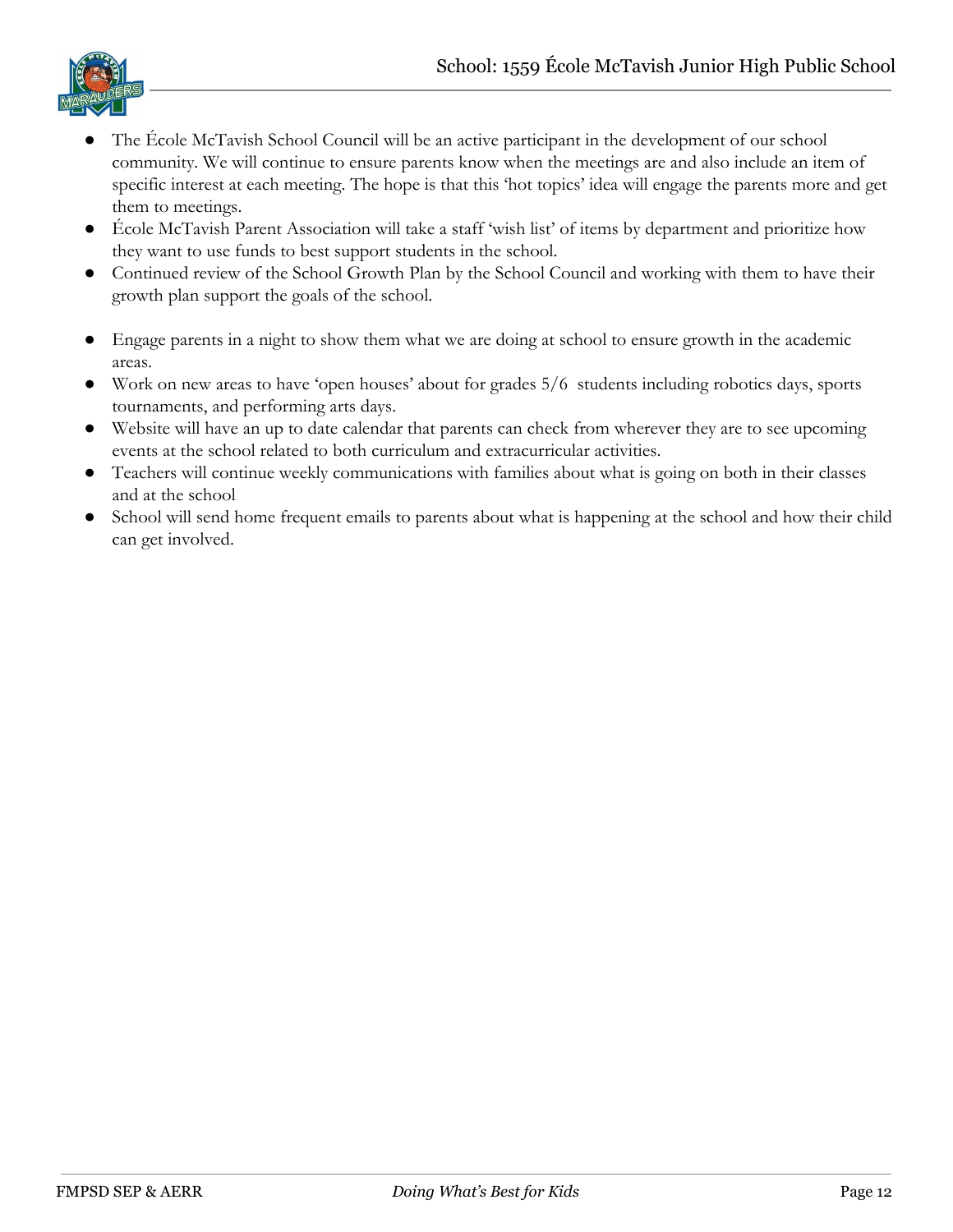

- The École McTavish School Council will be an active participant in the development of our school community. We will continue to ensure parents know when the meetings are and also include an item of specific interest at each meeting. The hope is that this 'hot topics' idea will engage the parents more and get them to meetings.
- École McTavish Parent Association will take a staff 'wish list' of items by department and prioritize how they want to use funds to best support students in the school.
- Continued review of the School Growth Plan by the School Council and working with them to have their growth plan support the goals of the school.
- Engage parents in a night to show them what we are doing at school to ensure growth in the academic areas.
- Work on new areas to have 'open houses' about for grades 5/6 students including robotics days, sports tournaments, and performing arts days.
- Website will have an up to date calendar that parents can check from wherever they are to see upcoming events at the school related to both curriculum and extracurricular activities.
- Teachers will continue weekly communications with families about what is going on both in their classes and at the school
- School will send home frequent emails to parents about what is happening at the school and how their child can get involved.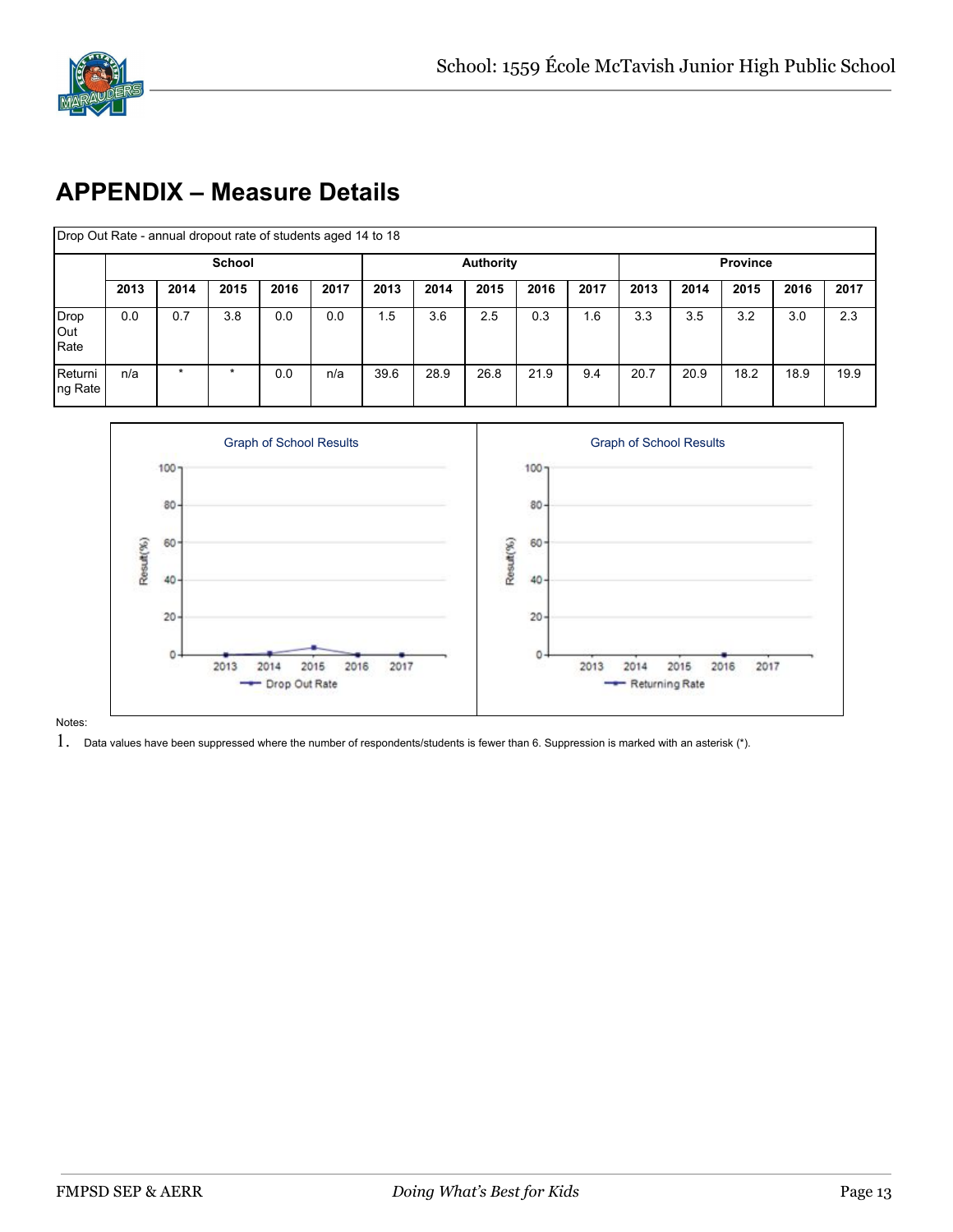

# **APPENDIX – Measure Details**

| Drop Out Rate - annual dropout rate of students aged 14 to 18 |      |         |               |      |      |      |      |                  |      |      |      |      |                 |      |      |
|---------------------------------------------------------------|------|---------|---------------|------|------|------|------|------------------|------|------|------|------|-----------------|------|------|
|                                                               |      |         | <b>School</b> |      |      |      |      | <b>Authority</b> |      |      |      |      | <b>Province</b> |      |      |
|                                                               | 2013 | 2014    | 2015          | 2016 | 2017 | 2013 | 2014 | 2015             | 2016 | 2017 | 2013 | 2014 | 2015            | 2016 | 2017 |
| Drop<br>Out<br>Rate                                           | 0.0  | 0.7     | 3.8           | 0.0  | 0.0  | 1.5  | 3.6  | 2.5              | 0.3  | 1.6  | 3.3  | 3.5  | 3.2             | 3.0  | 2.3  |
| Returni<br>ng Rate                                            | n/a  | $\star$ | $\star$       | 0.0  | n/a  | 39.6 | 28.9 | 26.8             | 21.9 | 9.4  | 20.7 | 20.9 | 18.2            | 18.9 | 19.9 |



Notes:

 $1.$  Data values have been suppressed where the number of respondents/students is fewer than 6. Suppression is marked with an asterisk (\*).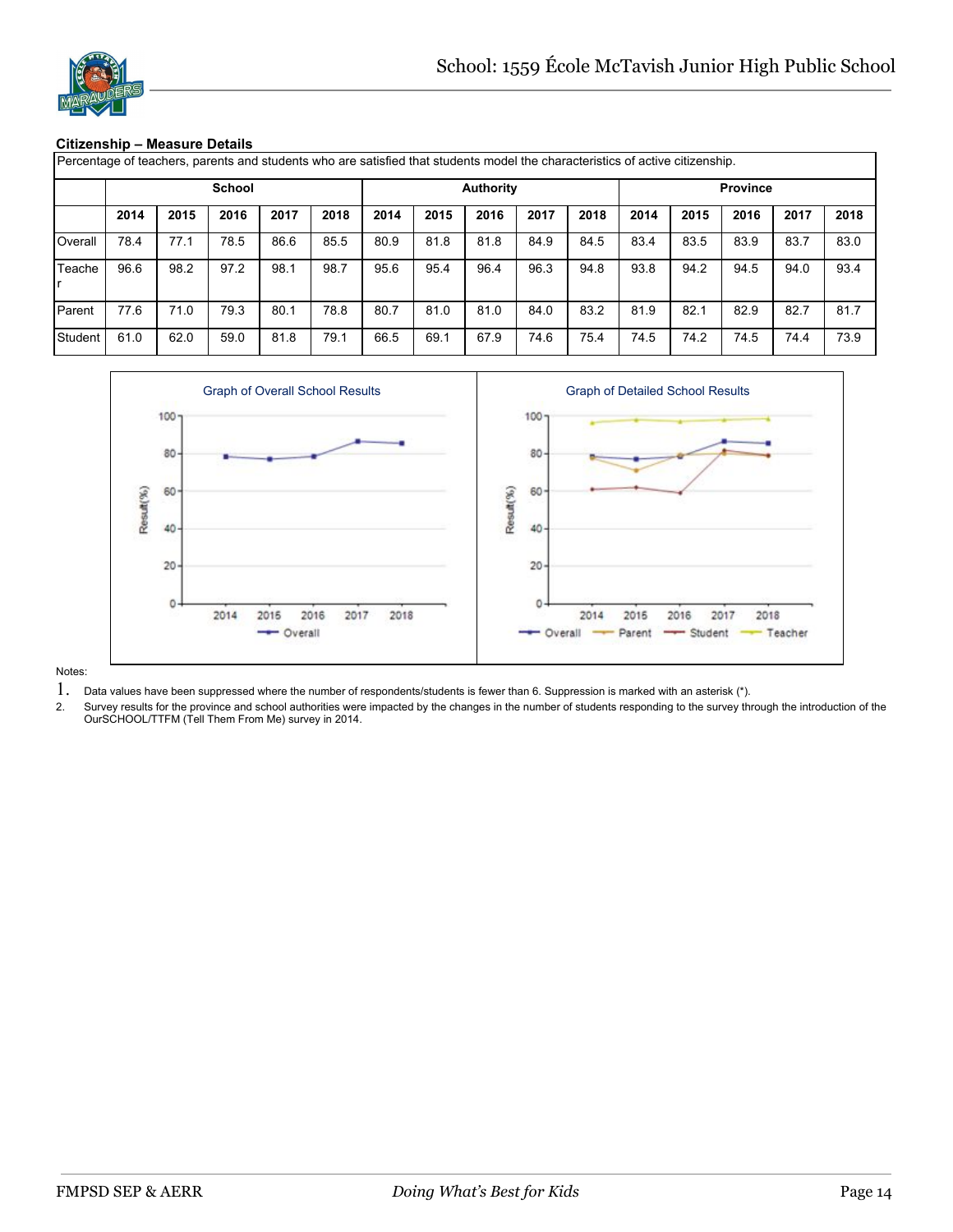

#### **Citizenship – Measure Details**

| Percentage of teachers, parents and students who are satisfied that students model the characteristics of active citizenship. |      |      |               |      |      |      |      |                  |      |      |      |      |                 |      |      |
|-------------------------------------------------------------------------------------------------------------------------------|------|------|---------------|------|------|------|------|------------------|------|------|------|------|-----------------|------|------|
|                                                                                                                               |      |      | <b>School</b> |      |      |      |      | <b>Authority</b> |      |      |      |      | <b>Province</b> |      |      |
|                                                                                                                               | 2014 | 2015 | 2016          | 2017 | 2018 | 2014 | 2015 | 2016             | 2017 | 2018 | 2014 | 2015 | 2016            | 2017 | 2018 |
| Overall                                                                                                                       | 78.4 | 77.1 | 78.5          | 86.6 | 85.5 | 80.9 | 81.8 | 81.8             | 84.9 | 84.5 | 83.4 | 83.5 | 83.9            | 83.7 | 83.0 |
| Teache                                                                                                                        | 96.6 | 98.2 | 97.2          | 98.1 | 98.7 | 95.6 | 95.4 | 96.4             | 96.3 | 94.8 | 93.8 | 94.2 | 94.5            | 94.0 | 93.4 |
| Parent                                                                                                                        | 77.6 | 71.0 | 79.3          | 80.1 | 78.8 | 80.7 | 81.0 | 81.0             | 84.0 | 83.2 | 81.9 | 82.1 | 82.9            | 82.7 | 81.7 |
| Student                                                                                                                       | 61.0 | 62.0 | 59.0          | 81.8 | 79.1 | 66.5 | 69.1 | 67.9             | 74.6 | 75.4 | 74.5 | 74.2 | 74.5            | 74.4 | 73.9 |



- 1. Data values have been suppressed where the number of respondents/students is fewer than 6. Suppression is marked with an asterisk (\*).
- Survey results for the province and school authorities were impacted by the changes in the number of students responding to the survey through the introduction of the OurSCHOOL/TTFM (Tell Them From Me) survey in 2014.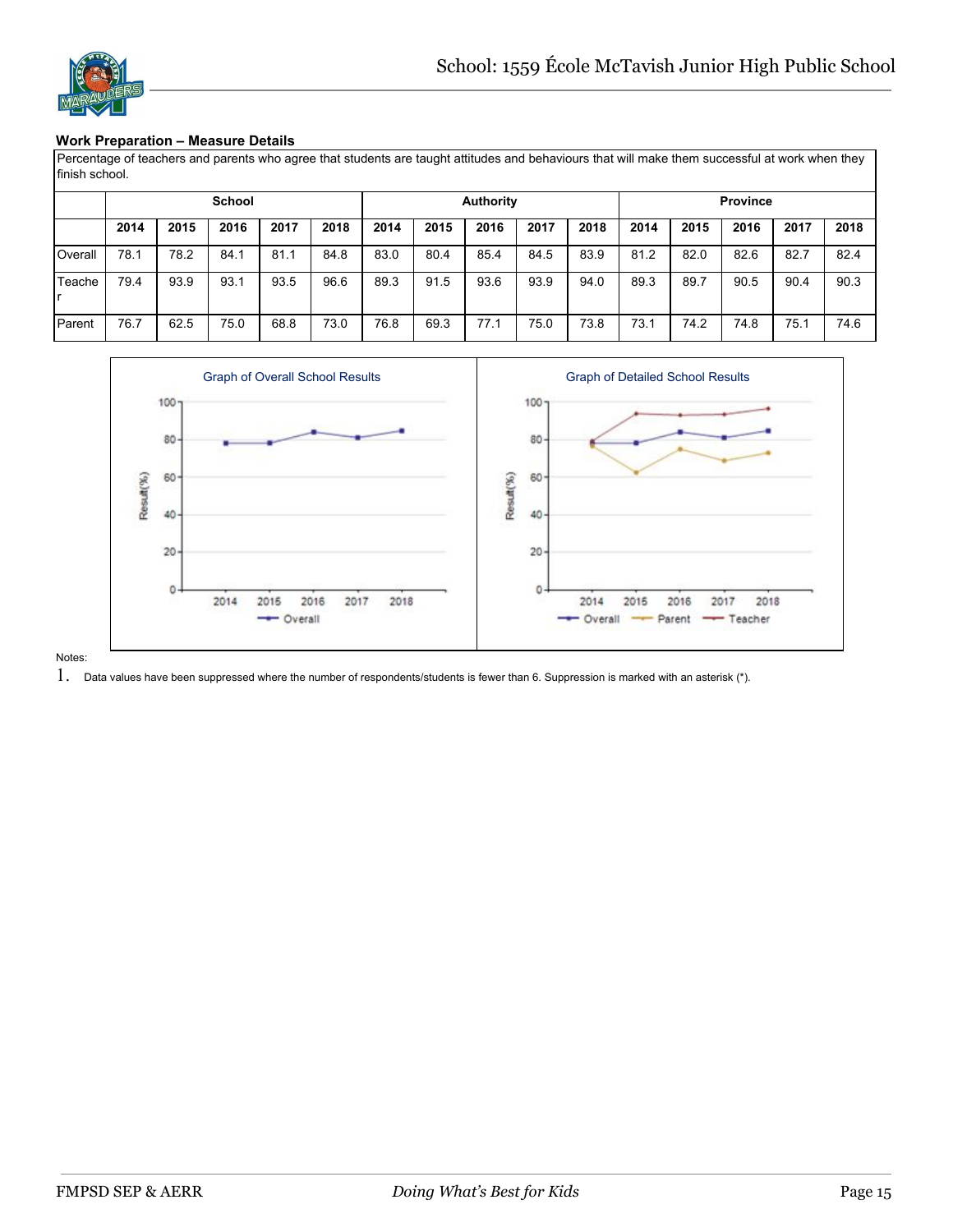#### **Work Preparation – Measure Details**

Percentage of teachers and parents who agree that students are taught attitudes and behaviours that will make them successful at work when they finish school.

|         |      |      | <b>School</b> |      |      |      |      | <b>Authority</b> |      |      |      |      | <b>Province</b> |      |      |
|---------|------|------|---------------|------|------|------|------|------------------|------|------|------|------|-----------------|------|------|
|         | 2014 | 2015 | 2016          | 2017 | 2018 | 2014 | 2015 | 2016             | 2017 | 2018 | 2014 | 2015 | 2016            | 2017 | 2018 |
| Overall | 78.1 | 78.2 | 84.1          | 81.1 | 84.8 | 83.0 | 80.4 | 85.4             | 84.5 | 83.9 | 81.2 | 82.0 | 82.6            | 82.7 | 82.4 |
| Teache  | 79.4 | 93.9 | 93.1          | 93.5 | 96.6 | 89.3 | 91.5 | 93.6             | 93.9 | 94.0 | 89.3 | 89.7 | 90.5            | 90.4 | 90.3 |
| Parent  | 76.7 | 62.5 | 75.0          | 68.8 | 73.0 | 76.8 | 69.3 | 77.1             | 75.0 | 73.8 | 73.1 | 74.2 | 74.8            | 75.1 | 74.6 |



Notes:

 $1.$  Data values have been suppressed where the number of respondents/students is fewer than 6. Suppression is marked with an asterisk (\*).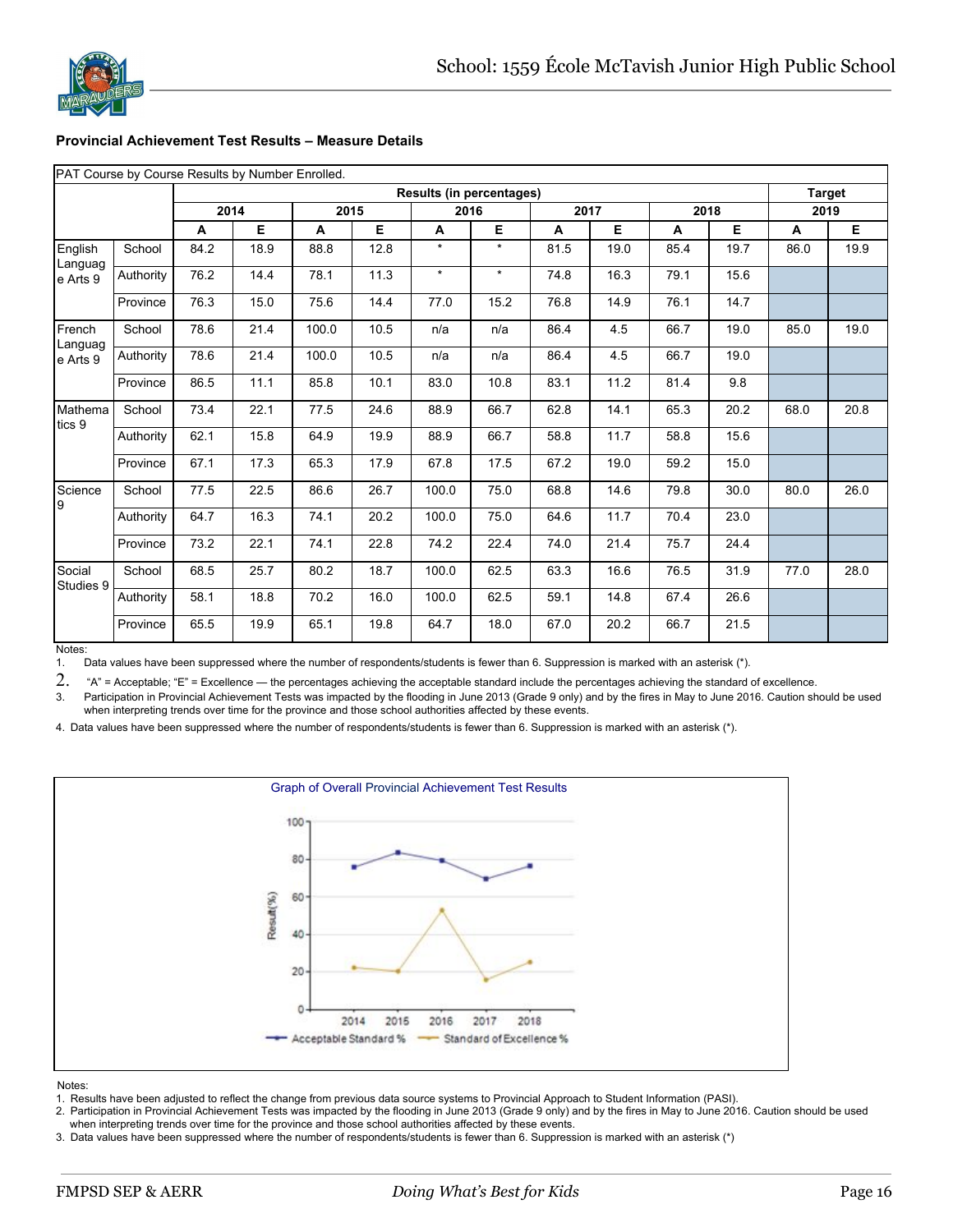

#### **Provincial Achievement Test Results – Measure Details**

|  |  |  |  |  | PAT Course by Course Results by Number Enrolled. |  |  |  |
|--|--|--|--|--|--------------------------------------------------|--|--|--|
|--|--|--|--|--|--------------------------------------------------|--|--|--|

|                     |           |      | $\overline{\phantom{a}}$ |       |      |         | <b>Results (in percentages)</b> |      |      |      |      |      | <b>Target</b> |
|---------------------|-----------|------|--------------------------|-------|------|---------|---------------------------------|------|------|------|------|------|---------------|
|                     |           | 2014 |                          | 2015  |      | 2016    |                                 | 2017 |      | 2018 |      | 2019 |               |
|                     |           | A    | E                        | A     | Е    | A       | E                               | A    | Е    | А    | Е    | A    | E             |
| English<br>Languag  | School    | 84.2 | 18.9                     | 88.8  | 12.8 | $\star$ | $\star$                         | 81.5 | 19.0 | 85.4 | 19.7 | 86.0 | 19.9          |
| e Arts 9            | Authority | 76.2 | 14.4                     | 78.1  | 11.3 | $\star$ | $\star$                         | 74.8 | 16.3 | 79.1 | 15.6 |      |               |
|                     | Province  | 76.3 | 15.0                     | 75.6  | 14.4 | 77.0    | 15.2                            | 76.8 | 14.9 | 76.1 | 14.7 |      |               |
| French<br>Languag   | School    | 78.6 | 21.4                     | 100.0 | 10.5 | n/a     | n/a                             | 86.4 | 4.5  | 66.7 | 19.0 | 85.0 | 19.0          |
| e Arts 9            | Authority | 78.6 | 21.4                     | 100.0 | 10.5 | n/a     | n/a                             | 86.4 | 4.5  | 66.7 | 19.0 |      |               |
|                     | Province  | 86.5 | 11.1                     | 85.8  | 10.1 | 83.0    | 10.8                            | 83.1 | 11.2 | 81.4 | 9.8  |      |               |
| Mathema<br>tics 9   | School    | 73.4 | 22.1                     | 77.5  | 24.6 | 88.9    | 66.7                            | 62.8 | 14.1 | 65.3 | 20.2 | 68.0 | 20.8          |
|                     | Authority | 62.1 | 15.8                     | 64.9  | 19.9 | 88.9    | 66.7                            | 58.8 | 11.7 | 58.8 | 15.6 |      |               |
|                     | Province  | 67.1 | 17.3                     | 65.3  | 17.9 | 67.8    | 17.5                            | 67.2 | 19.0 | 59.2 | 15.0 |      |               |
| Science<br>9        | School    | 77.5 | 22.5                     | 86.6  | 26.7 | 100.0   | 75.0                            | 68.8 | 14.6 | 79.8 | 30.0 | 80.0 | 26.0          |
|                     | Authority | 64.7 | 16.3                     | 74.1  | 20.2 | 100.0   | 75.0                            | 64.6 | 11.7 | 70.4 | 23.0 |      |               |
|                     | Province  | 73.2 | 22.1                     | 74.1  | 22.8 | 74.2    | 22.4                            | 74.0 | 21.4 | 75.7 | 24.4 |      |               |
| Social<br>Studies 9 | School    | 68.5 | 25.7                     | 80.2  | 18.7 | 100.0   | 62.5                            | 63.3 | 16.6 | 76.5 | 31.9 | 77.0 | 28.0          |
|                     | Authority | 58.1 | 18.8                     | 70.2  | 16.0 | 100.0   | 62.5                            | 59.1 | 14.8 | 67.4 | 26.6 |      |               |
|                     | Province  | 65.5 | 19.9                     | 65.1  | 19.8 | 64.7    | 18.0                            | 67.0 | 20.2 | 66.7 | 21.5 |      |               |

Notes:

1. Data values have been suppressed where the number of respondents/students is fewer than 6. Suppression is marked with an asterisk (\*).

2. "A" = Acceptable; "E" = Excellence — the percentages achieving the acceptable standard include the percentages achieving the standard of excellence.

3. Participation in Provincial Achievement Tests was impacted by the flooding in June 2013 (Grade 9 only) and by the fires in May to June 2016. Caution should be used when interpreting trends over time for the province and those school authorities affected by these events.

4. Data values have been suppressed where the number of respondents/students is fewer than 6. Suppression is marked with an asterisk (\*).



Notes:

1. Results have been adjusted to reflect the change from previous data source systems to Provincial Approach to Student Information (PASI).

2. Participation in Provincial Achievement Tests was impacted by the flooding in June 2013 (Grade 9 only) and by the fires in May to June 2016. Caution should be used when interpreting trends over time for the province and those school authorities affected by these events.

3. Data values have been suppressed where the number of respondents/students is fewer than 6. Suppression is marked with an asterisk (\*)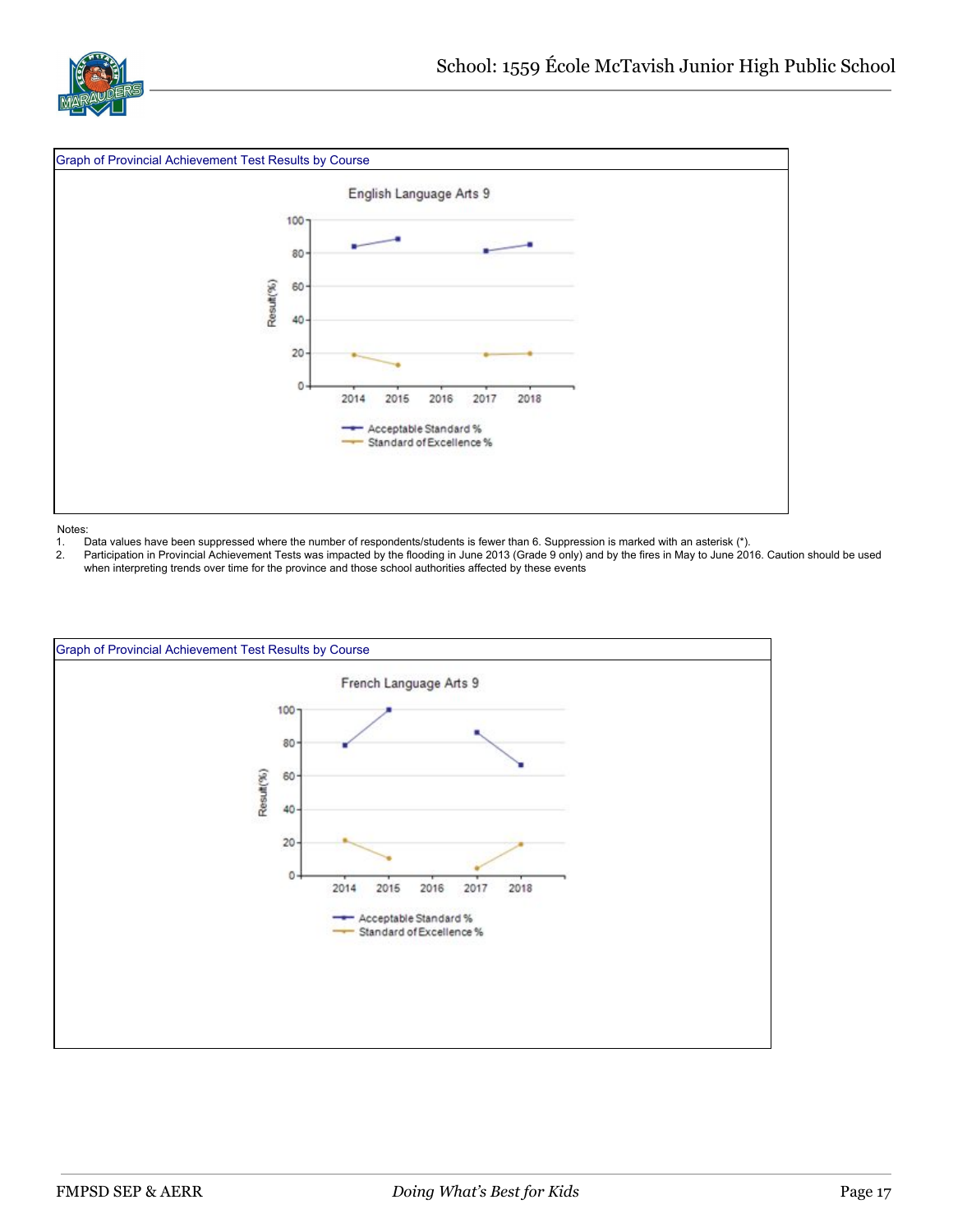



- 1. Data values have been suppressed where the number of respondents/students is fewer than 6. Suppression is marked with an asterisk (\*).
- 2. Participation in Provincial Achievement Tests was impacted by the flooding in June 2013 (Grade 9 only) and by the fires in May to June 2016. Caution should be used when interpreting trends over time for the province and those school authorities affected by these events

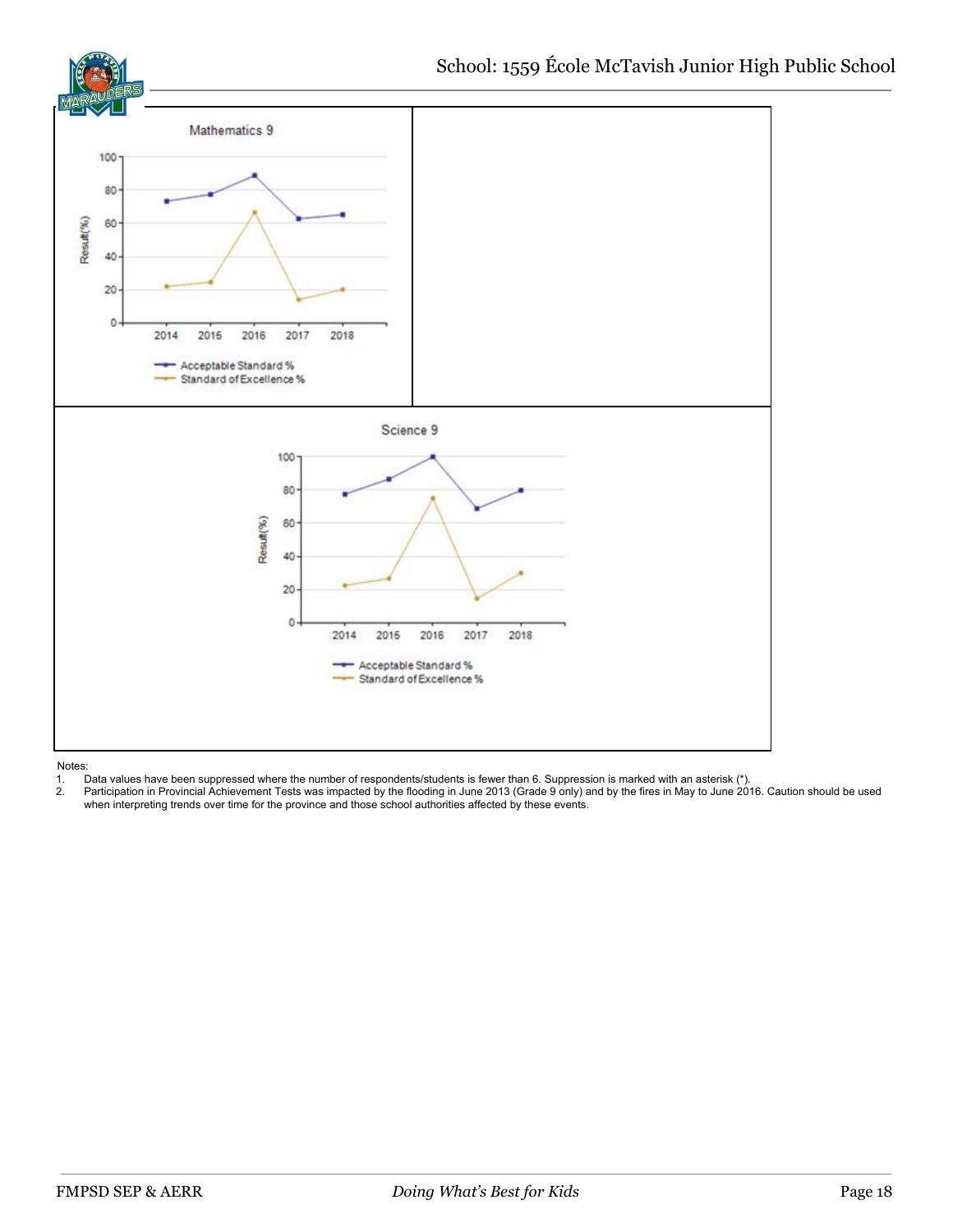

- 1. Data values have been suppressed where the number of respondents/students is fewer than 6. Suppression is marked with an asterisk (\*).
- 2. Participation in Provincial Achievement Tests was impacted by the flooding in June 2013 (Grade 9 only) and by the fires in May to June 2016. Caution should be used when interpreting trends over time for the province and those school authorities affected by these events.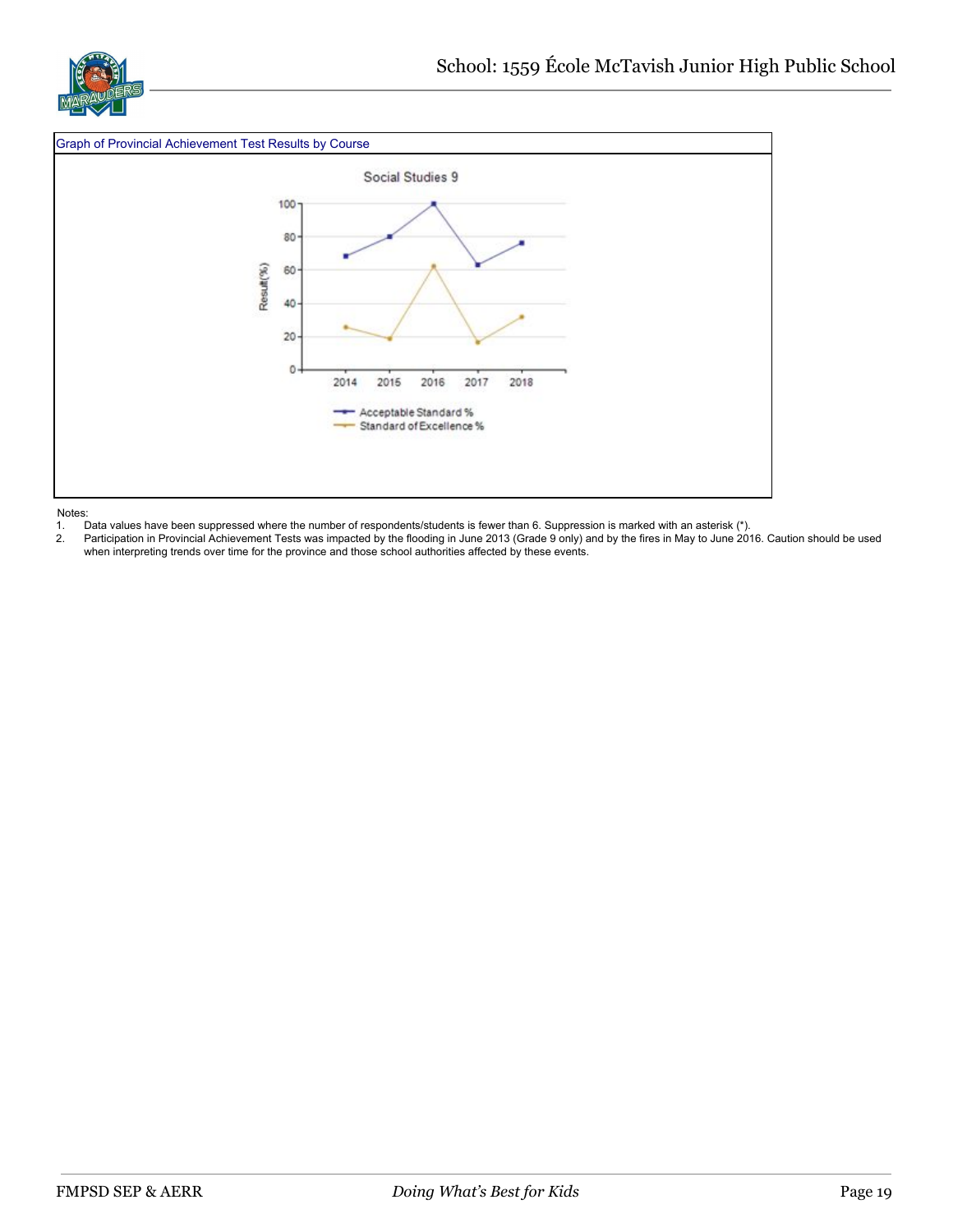

#### Graph of Provincial Achievement Test Results by Course



Notes:

1. Data values have been suppressed where the number of respondents/students is fewer than 6. Suppression is marked with an asterisk (\*).

2. Participation in Provincial Achievement Tests was impacted by the flooding in June 2013 (Grade 9 only) and by the fires in May to June 2016. Caution should be used when interpreting trends over time for the province and those school authorities affected by these events.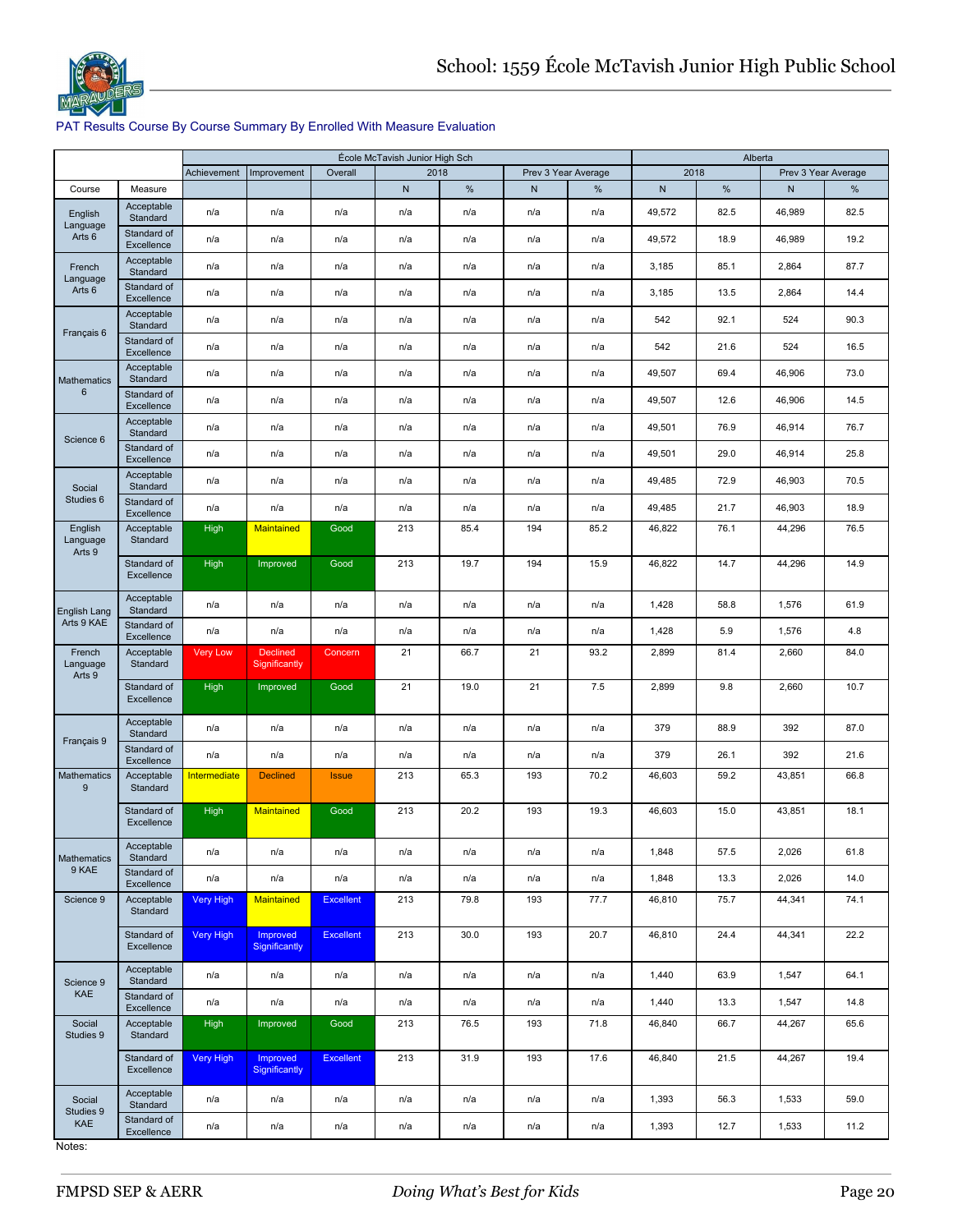

#### PAT Results Course By Course Summary By Enrolled With Measure Evaluation

|                               |                           |                     |                                  |                  | École McTavish Junior High Sch |      |                     |      |        | Alberta |        |                     |
|-------------------------------|---------------------------|---------------------|----------------------------------|------------------|--------------------------------|------|---------------------|------|--------|---------|--------|---------------------|
|                               |                           | Achievement         | Improvement                      | Overall          | 2018                           |      | Prev 3 Year Average |      | 2018   |         |        | Prev 3 Year Average |
| Course                        | Measure                   |                     |                                  |                  | ${\sf N}$                      | $\%$ | N                   | %    | N      | $\%$    | N      | %                   |
| English                       | Acceptable<br>Standard    | n/a                 | n/a                              | n/a              | n/a                            | n/a  | n/a                 | n/a  | 49,572 | 82.5    | 46,989 | 82.5                |
| Language<br>Arts <sub>6</sub> | Standard of<br>Excellence | n/a                 | n/a                              | n/a              | n/a                            | n/a  | n/a                 | n/a  | 49,572 | 18.9    | 46,989 | 19.2                |
| French<br>Language            | Acceptable<br>Standard    | n/a                 | n/a                              | n/a              | n/a                            | n/a  | n/a                 | n/a  | 3,185  | 85.1    | 2,864  | 87.7                |
| Arts 6                        | Standard of<br>Excellence | n/a                 | n/a                              | n/a              | n/a                            | n/a  | n/a                 | n/a  | 3,185  | 13.5    | 2,864  | 14.4                |
| Français 6                    | Acceptable<br>Standard    | n/a                 | n/a                              | n/a              | n/a                            | n/a  | n/a                 | n/a  | 542    | 92.1    | 524    | 90.3                |
|                               | Standard of<br>Excellence | n/a                 | n/a                              | n/a              | n/a                            | n/a  | n/a                 | n/a  | 542    | 21.6    | 524    | 16.5                |
| Mathematics                   | Acceptable<br>Standard    | n/a                 | n/a                              | n/a              | n/a                            | n/a  | n/a                 | n/a  | 49,507 | 69.4    | 46,906 | 73.0                |
| 6                             | Standard of<br>Excellence | n/a                 | n/a                              | n/a              | n/a                            | n/a  | n/a                 | n/a  | 49,507 | 12.6    | 46,906 | 14.5                |
| Science 6                     | Acceptable<br>Standard    | n/a                 | n/a                              | n/a              | n/a                            | n/a  | n/a                 | n/a  | 49,501 | 76.9    | 46,914 | 76.7                |
|                               | Standard of<br>Excellence | n/a                 | n/a                              | n/a              | n/a                            | n/a  | n/a                 | n/a  | 49,501 | 29.0    | 46,914 | 25.8                |
| Social                        | Acceptable<br>Standard    | n/a                 | n/a                              | n/a              | n/a                            | n/a  | n/a                 | n/a  | 49,485 | 72.9    | 46,903 | 70.5                |
| Studies <sub>6</sub>          | Standard of<br>Excellence | n/a                 | n/a                              | n/a              | n/a                            | n/a  | n/a                 | n/a  | 49,485 | 21.7    | 46,903 | 18.9                |
| English<br>Language<br>Arts 9 | Acceptable<br>Standard    | <b>High</b>         | Maintained                       | Good             | 213                            | 85.4 | 194                 | 85.2 | 46,822 | 76.1    | 44,296 | 76.5                |
|                               | Standard of<br>Excellence | <b>High</b>         | Improved                         | Good             | 213                            | 19.7 | 194                 | 15.9 | 46,822 | 14.7    | 44,296 | 14.9                |
| <b>English Lang</b>           | Acceptable<br>Standard    | n/a                 | n/a                              | n/a              | n/a                            | n/a  | n/a                 | n/a  | 1,428  | 58.8    | 1,576  | 61.9                |
| Arts 9 KAE                    | Standard of<br>Excellence | n/a                 | n/a                              | n/a              | n/a                            | n/a  | n/a                 | n/a  | 1,428  | 5.9     | 1,576  | 4.8                 |
| French<br>Language<br>Arts 9  | Acceptable<br>Standard    | <b>Very Low</b>     | <b>Declined</b><br>Significantly | Concern          | 21                             | 66.7 | 21                  | 93.2 | 2,899  | 81.4    | 2,660  | 84.0                |
|                               | Standard of<br>Excellence | <b>High</b>         | Improved                         | Good             | 21                             | 19.0 | 21                  | 7.5  | 2,899  | 9.8     | 2,660  | 10.7                |
| Français 9                    | Acceptable<br>Standard    | n/a                 | n/a                              | n/a              | n/a                            | n/a  | n/a                 | n/a  | 379    | 88.9    | 392    | 87.0                |
|                               | Standard of<br>Excellence | n/a                 | n/a                              | n/a              | n/a                            | n/a  | n/a                 | n/a  | 379    | 26.1    | 392    | 21.6                |
| <b>Mathematics</b><br>9       | Acceptable<br>Standard    | <b>Intermediate</b> | <b>Declined</b>                  | <b>Issue</b>     | 213                            | 65.3 | 193                 | 70.2 | 46,603 | 59.2    | 43,851 | 66.8                |
|                               | Standard of<br>Excellence | <b>High</b>         | <b>Maintained</b>                | Good             | 213                            | 20.2 | 193                 | 19.3 | 46,603 | 15.0    | 43,851 | 18.1                |
| Mathematics                   | Acceptable<br>Standard    | n/a                 | n/a                              | n/a              | n/a                            | n/a  | n/a                 | n/a  | 1,848  | 57.5    | 2,026  | 61.8                |
| 9 KAE                         | Standard of<br>Excellence | n/a                 | n/a                              | n/a              | n/a                            | n/a  | n/a                 | n/a  | 1,848  | 13.3    | 2,026  | 14.0                |
| Science 9                     | Acceptable<br>Standard    | Very High           | Maintained                       | <b>Excellent</b> | 213                            | 79.8 | 193                 | 77.7 | 46,810 | 75.7    | 44,341 | 74.1                |
|                               | Standard of<br>Excellence | Very High           | Improved<br>Significantly        | Excellent        | 213                            | 30.0 | 193                 | 20.7 | 46,810 | 24.4    | 44,341 | 22.2                |
| Science 9                     | Acceptable<br>Standard    | n/a                 | n/a                              | n/a              | n/a                            | n/a  | n/a                 | n/a  | 1,440  | 63.9    | 1,547  | 64.1                |
| KAE                           | Standard of<br>Excellence | n/a                 | n/a                              | n/a              | n/a                            | n/a  | n/a                 | n/a  | 1,440  | 13.3    | 1,547  | 14.8                |
| Social<br>Studies 9           | Acceptable<br>Standard    | High                | Improved                         | Good             | 213                            | 76.5 | 193                 | 71.8 | 46,840 | 66.7    | 44,267 | 65.6                |
|                               | Standard of<br>Excellence | <b>Very High</b>    | Improved<br>Significantly        | <b>Excellent</b> | 213                            | 31.9 | 193                 | 17.6 | 46,840 | 21.5    | 44,267 | 19.4                |
| Social<br>Studies 9           | Acceptable<br>Standard    | n/a                 | n/a                              | n/a              | n/a                            | n/a  | n/a                 | n/a  | 1,393  | 56.3    | 1,533  | 59.0                |
| KAE                           | Standard of<br>Excellence | n/a                 | n/a                              | n/a              | n/a                            | n/a  | n/a                 | n/a  | 1,393  | 12.7    | 1,533  | 11.2                |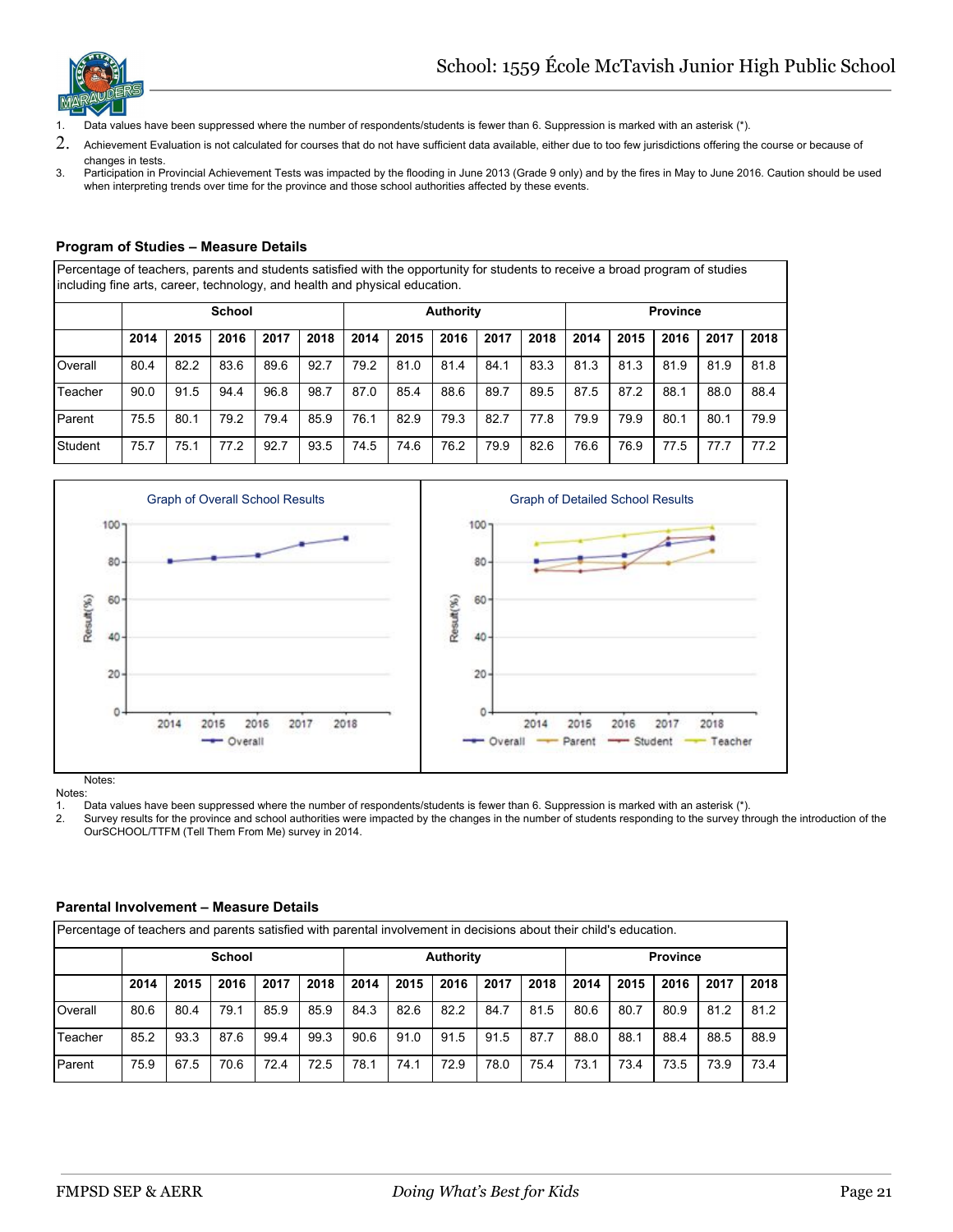

- 1. Data values have been suppressed where the number of respondents/students is fewer than 6. Suppression is marked with an asterisk (\*).
- 2. Achievement Evaluation is not calculated for courses that do not have sufficient data available, either due to too few jurisdictions offering the course or because of changes in tests.
- 3. Participation in Provincial Achievement Tests was impacted by the flooding in June 2013 (Grade 9 only) and by the fires in May to June 2016. Caution should be used when interpreting trends over time for the province and those school authorities affected by these events.

#### **Program of Studies – Measure Details**

Percentage of teachers, parents and students satisfied with the opportunity for students to receive a broad program of studies including fine arts, career, technology, and health and physical education.

|         |      | <b>School</b> |      |      |      |      |      | <b>Authority</b> |      |      | <b>Province</b> |      |      |      |      |  |
|---------|------|---------------|------|------|------|------|------|------------------|------|------|-----------------|------|------|------|------|--|
|         | 2014 | 2015          | 2016 | 2017 | 2018 | 2014 | 2015 | 2016             | 2017 | 2018 | 2014            | 2015 | 2016 | 2017 | 2018 |  |
| Overall | 80.4 | 82.2          | 83.6 | 89.6 | 92.7 | 79.2 | 81.0 | 81.4             | 84.1 | 83.3 | 81.3            | 81.3 | 81.9 | 81.9 | 81.8 |  |
| Teacher | 90.0 | 91.5          | 94.4 | 96.8 | 98.7 | 87.0 | 85.4 | 88.6             | 89.7 | 89.5 | 87.5            | 87.2 | 88.1 | 88.0 | 88.4 |  |
| Parent  | 75.5 | 80.1          | 79.2 | 79.4 | 85.9 | 76.1 | 82.9 | 79.3             | 82.7 | 77.8 | 79.9            | 79.9 | 80.1 | 80.1 | 79.9 |  |
| Student | 75.7 | 75.1          | 77.2 | 92.7 | 93.5 | 74.5 | 74.6 | 76.2             | 79.9 | 82.6 | 76.6            | 76.9 | 77.5 | 77.7 | 77.2 |  |



Notes:

1. Data values have been suppressed where the number of respondents/students is fewer than 6. Suppression is marked with an asterisk (\*).

Survey results for the province and school authorities were impacted by the changes in the number of students responding to the survey through the introduction of the OurSCHOOL/TTFM (Tell Them From Me) survey in 2014.

#### **Parental Involvement – Measure Details**

|         | Percentage of teachers and parents satisfied with parental involvement in decisions about their child's education.   |      |               |      |      |      |      |                  |      |      |      |      |                 |      |      |
|---------|----------------------------------------------------------------------------------------------------------------------|------|---------------|------|------|------|------|------------------|------|------|------|------|-----------------|------|------|
|         |                                                                                                                      |      | <b>School</b> |      |      |      |      | <b>Authority</b> |      |      |      |      | <b>Province</b> |      |      |
|         | 2018<br>2018<br>2018<br>2014<br>2015<br>2016<br>2014<br>2014<br>2015<br>2016<br>2017<br>2017<br>2015<br>2016<br>2017 |      |               |      |      |      |      |                  |      |      |      |      |                 |      |      |
| Overall | 80.6                                                                                                                 | 80.4 | 79.1          | 85.9 | 85.9 | 84.3 | 82.6 | 82.2             | 84.7 | 81.5 | 80.6 | 80.7 | 80.9            | 81.2 | 81.2 |
| Teacher | 85.2                                                                                                                 | 93.3 | 87.6          | 99.4 | 99.3 | 90.6 | 91.0 | 91.5             | 91.5 | 87.7 | 88.0 | 88.1 | 88.4            | 88.5 | 88.9 |
| Parent  | 75.9                                                                                                                 | 67.5 | 70.6          | 72.4 | 72.5 | 78.1 | 74.1 | 72.9             | 78.0 | 75.4 | 73.1 | 73.4 | 73.5            | 73.9 | 73.4 |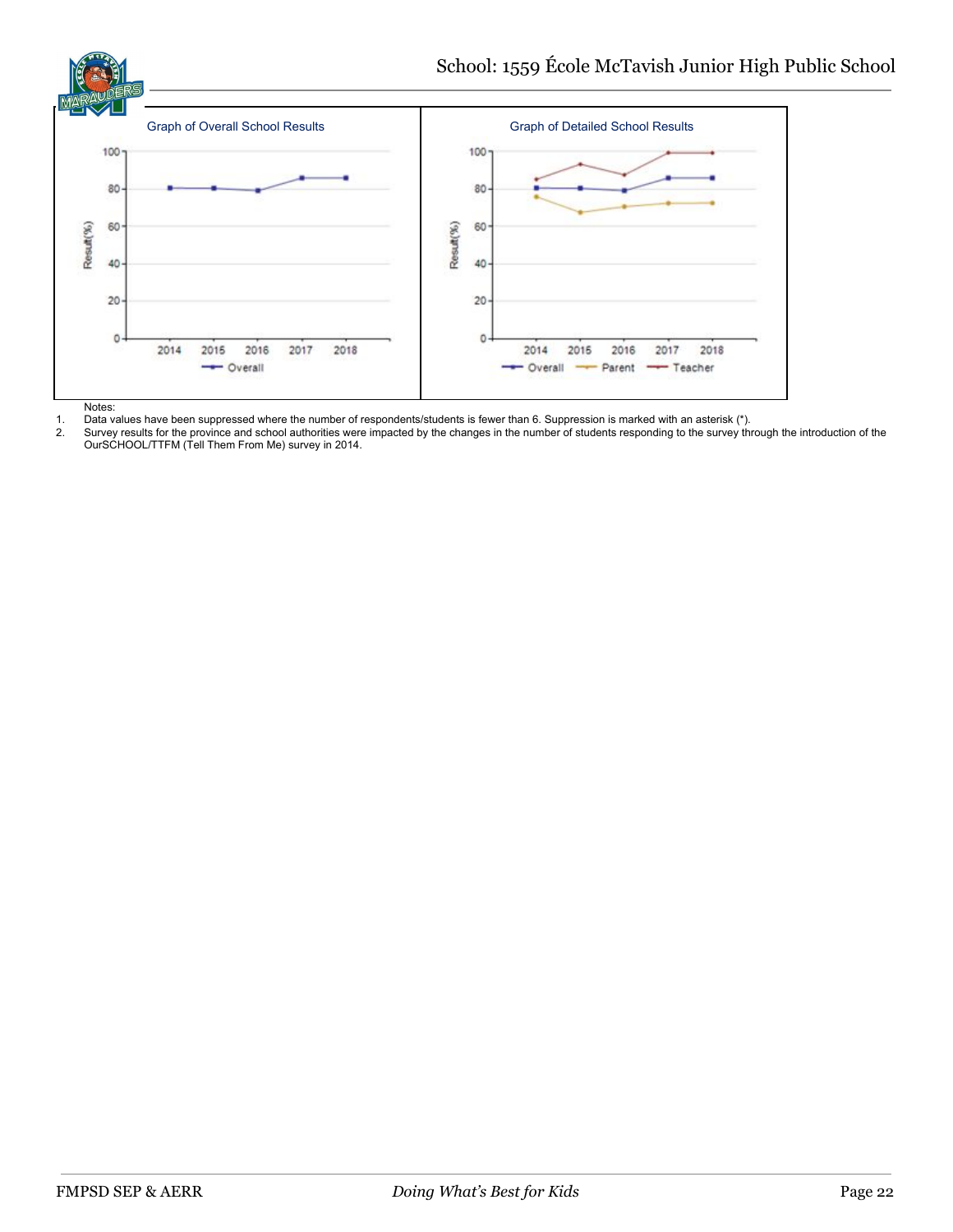

1. Data values have been suppressed where the number of respondents/students is fewer than 6. Suppression is marked with an asterisk (\*). Survey results for the province and school authorities were impacted by the changes in the number of students responding to the survey through the introduction of the OurSCHOOL/TTFM (Tell Them From Me) survey in 2014.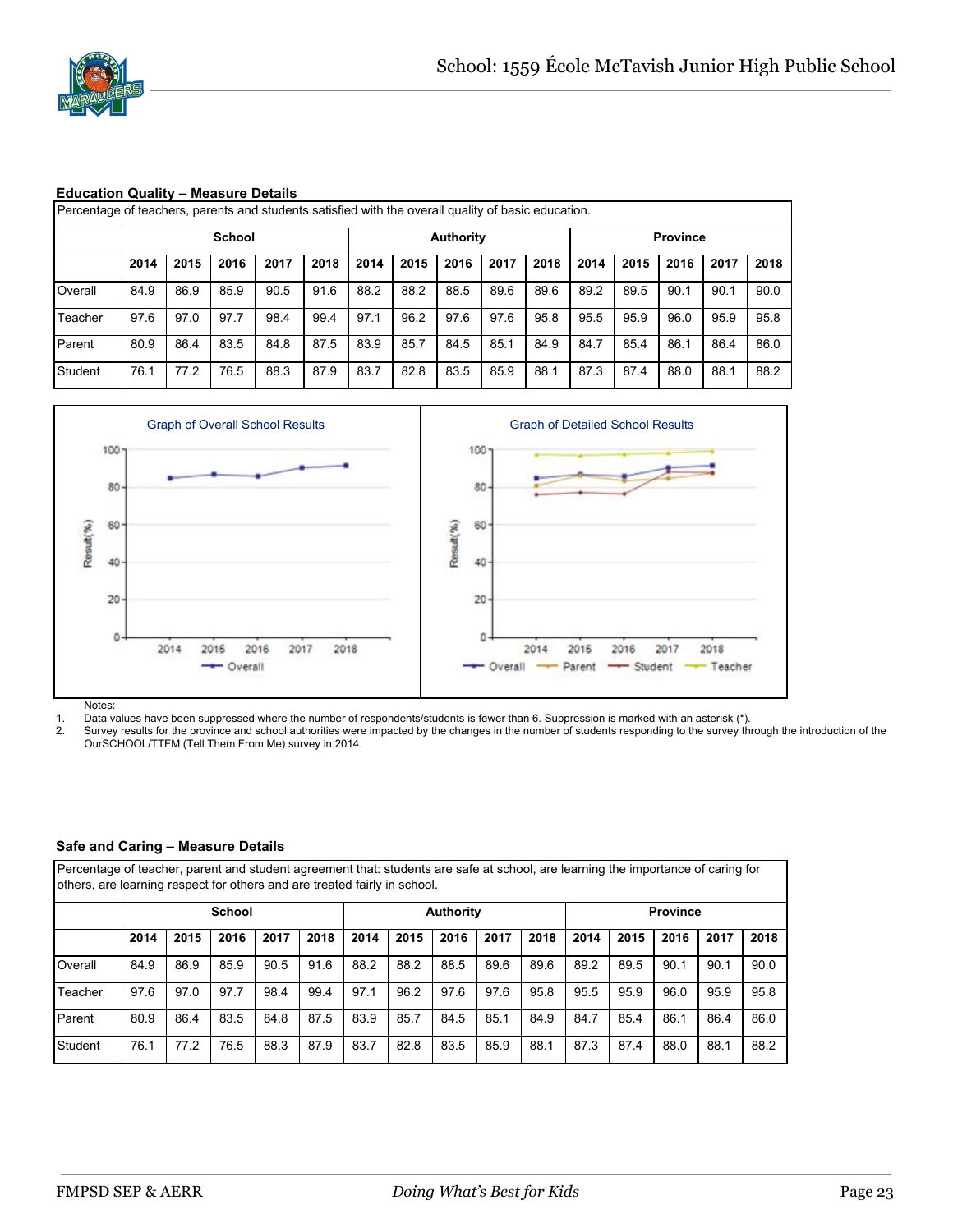

#### **Education Quality – Measure Details**

|         |      |      | <b>School</b> |      |      |      |      | <b>Authority</b> |      |      |      |      | <b>Province</b> |      |      |
|---------|------|------|---------------|------|------|------|------|------------------|------|------|------|------|-----------------|------|------|
|         | 2014 | 2015 | 2016          | 2017 | 2018 | 2014 | 2015 | 2016             | 2017 | 2018 | 2014 | 2015 | 2016            | 2017 | 2018 |
| Overall | 84.9 | 86.9 | 85.9          | 90.5 | 91.6 | 88.2 | 88.2 | 88.5             | 89.6 | 89.6 | 89.2 | 89.5 | 90.1            | 90.1 | 90.0 |
| Teacher | 97.6 | 97.0 | 97.7          | 98.4 | 99.4 | 97.1 | 96.2 | 97.6             | 97.6 | 95.8 | 95.5 | 95.9 | 96.0            | 95.9 | 95.8 |
| Parent  | 80.9 | 86.4 | 83.5          | 84.8 | 87.5 | 83.9 | 85.7 | 84.5             | 85.1 | 84.9 | 84.7 | 85.4 | 86.1            | 86.4 | 86.0 |
| Student | 76.1 | 77.2 | 76.5          | 88.3 | 87.9 | 83.7 | 82.8 | 83.5             | 85.9 | 88.1 | 87.3 | 87.4 | 88.0            | 88.1 | 88.2 |



Notes:

1. Data values have been suppressed where the number of respondents/students is fewer than 6. Suppression is marked with an asterisk (\*).<br>2. Survey results for the province and school authorities were impacted by the chang

Survey results for the province and school authorities were impacted by the changes in the number of students responding to the survey through the introduction of the OurSCHOOL/TTFM (Tell Them From Me) survey in 2014.

#### **Safe and Caring – Measure Details**

Percentage of teacher, parent and student agreement that: students are safe at school, are learning the importance of caring for others, are learning respect for others and are treated fairly in school.

|         |      |      | <b>School</b> |      |      |      |      | <b>Authority</b> |      |      | <b>Province</b> |      |      |      |      |
|---------|------|------|---------------|------|------|------|------|------------------|------|------|-----------------|------|------|------|------|
|         | 2014 | 2015 | 2016          | 2017 | 2018 | 2014 | 2015 | 2016             | 2017 | 2018 | 2014            | 2015 | 2016 | 2017 | 2018 |
| Overall | 84.9 | 86.9 | 85.9          | 90.5 | 91.6 | 88.2 | 88.2 | 88.5             | 89.6 | 89.6 | 89.2            | 89.5 | 90.1 | 90.1 | 90.0 |
| Teacher | 97.6 | 97.0 | 97.7          | 98.4 | 99.4 | 97.1 | 96.2 | 97.6             | 97.6 | 95.8 | 95.5            | 95.9 | 96.0 | 95.9 | 95.8 |
| Parent  | 80.9 | 86.4 | 83.5          | 84.8 | 87.5 | 83.9 | 85.7 | 84.5             | 85.1 | 84.9 | 84.7            | 85.4 | 86.1 | 86.4 | 86.0 |
| Student | 76.1 | 77.2 | 76.5          | 88.3 | 87.9 | 83.7 | 82.8 | 83.5             | 85.9 | 88.1 | 87.3            | 87.4 | 88.0 | 88.1 | 88.2 |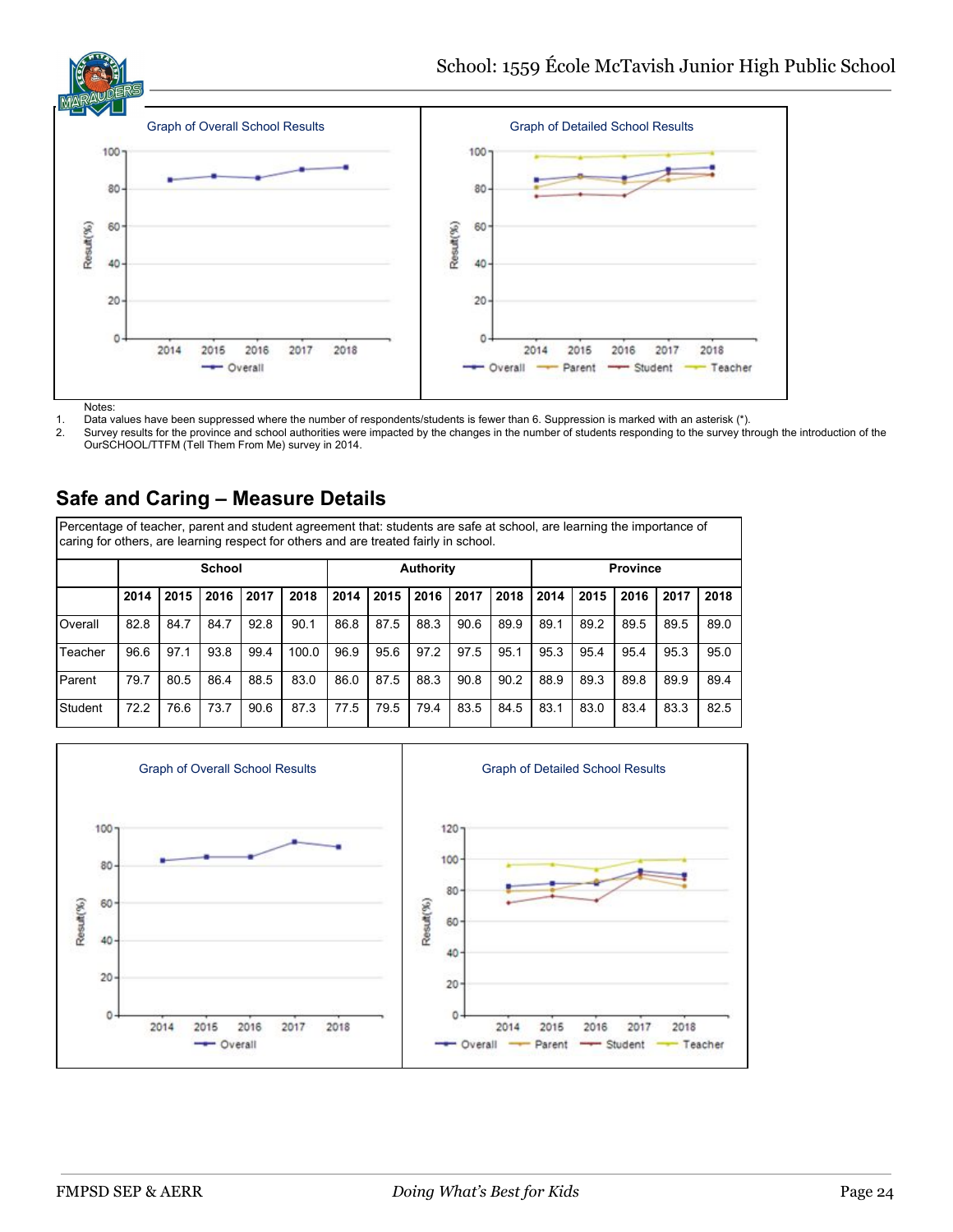

Notes:

1. Data values have been suppressed where the number of respondents/students is fewer than 6. Suppression is marked with an asterisk (\*).<br>2. Survey results for the province and school authorities were impacted by the chang

Survey results for the province and school authorities were impacted by the changes in the number of students responding to the survey through the introduction of the OurSCHOOL/TTFM (Tell Them From Me) survey in 2014.

# **Safe and Caring – Measure Details**

Percentage of teacher, parent and student agreement that: students are safe at school, are learning the importance of caring for others, are learning respect for others and are treated fairly in school.

|         |      |      | <b>School</b> |      |       |      |      | <b>Authority</b> |      |      | <b>Province</b> |      |      |      |      |  |
|---------|------|------|---------------|------|-------|------|------|------------------|------|------|-----------------|------|------|------|------|--|
|         | 2014 | 2015 | 2016          | 2017 | 2018  | 2014 | 2015 | 2016             | 2017 | 2018 | 2014            | 2015 | 2016 | 2017 | 2018 |  |
| Overall | 82.8 | 84.7 | 84.7          | 92.8 | 90.1  | 86.8 | 87.5 | 88.3             | 90.6 | 89.9 | 89.1            | 89.2 | 89.5 | 89.5 | 89.0 |  |
| Teacher | 96.6 | 97.1 | 93.8          | 99.4 | 100.0 | 96.9 | 95.6 | 97.2             | 97.5 | 95.1 | 95.3            | 95.4 | 95.4 | 95.3 | 95.0 |  |
| Parent  | 79.7 | 80.5 | 86.4          | 88.5 | 83.0  | 86.0 | 87.5 | 88.3             | 90.8 | 90.2 | 88.9            | 89.3 | 89.8 | 89.9 | 89.4 |  |
| Student | 72.2 | 76.6 | 73.7          | 90.6 | 87.3  | 77.5 | 79.5 | 79.4             | 83.5 | 84.5 | 83.1            | 83.0 | 83.4 | 83.3 | 82.5 |  |